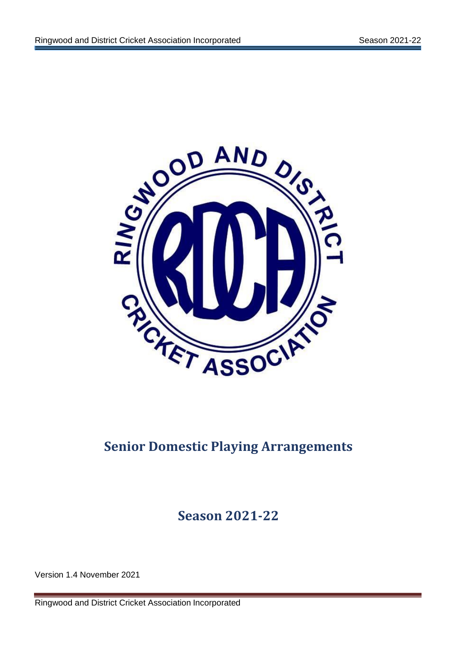

# **Senior Domestic Playing Arrangements**

**Season 2021-22**

Version 1.4 November 2021

Ringwood and District Cricket Association Incorporated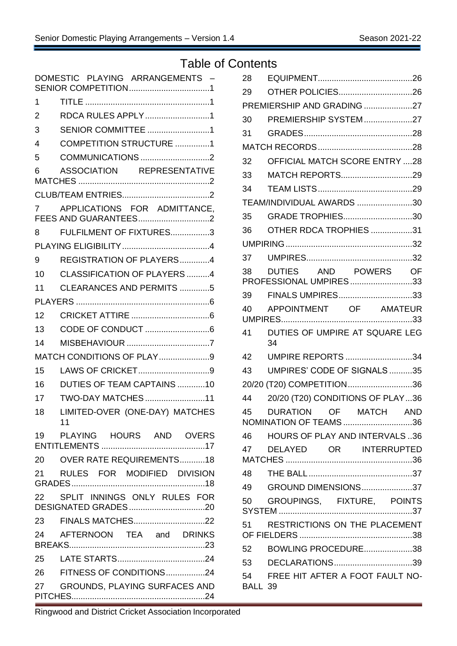## Table of Contents

|                | DOMESTIC PLAYING ARRANGEMENTS -                                                                                                                    |
|----------------|----------------------------------------------------------------------------------------------------------------------------------------------------|
| 1              |                                                                                                                                                    |
| $\overline{2}$ | RDCA RULES APPLY1                                                                                                                                  |
| 3              | <b>SENIOR COMMITTEE 1</b>                                                                                                                          |
| 4              | COMPETITION STRUCTURE 1                                                                                                                            |
| 5              | COMMUNICATIONS 2                                                                                                                                   |
| 6              | ASSOCIATION REPRESENTATIVE                                                                                                                         |
|                |                                                                                                                                                    |
| 7              | APPLICATIONS FOR ADMITTANCE,                                                                                                                       |
| 8              | FULFILMENT OF FIXTURES3                                                                                                                            |
|                |                                                                                                                                                    |
| 9              | REGISTRATION OF PLAYERS4                                                                                                                           |
| 10             | <b>CLASSIFICATION OF PLAYERS 4</b>                                                                                                                 |
| 11             | <b>CLEARANCES AND PERMITS 5</b>                                                                                                                    |
|                |                                                                                                                                                    |
| 12             |                                                                                                                                                    |
| 13             |                                                                                                                                                    |
| 14             |                                                                                                                                                    |
|                | MATCH CONDITIONS OF PLAY9                                                                                                                          |
| 15             | LAWS OF CRICKET9                                                                                                                                   |
| 16             | DUTIES OF TEAM CAPTAINS 10                                                                                                                         |
| 17             | TWO-DAY MATCHES11                                                                                                                                  |
| 18             | LIMITED-OVER (ONE-DAY) MATCHES<br>11                                                                                                               |
|                | 19 PLAYING HOURS AND OVERS                                                                                                                         |
|                | 20 OVER RATE REQUIREMENTS18                                                                                                                        |
|                | 21 RULES FOR MODIFIED DIVISION                                                                                                                     |
|                | 22 SPLIT INNINGS ONLY RULES FOR                                                                                                                    |
|                |                                                                                                                                                    |
|                | 23 FINALS MATCHES22                                                                                                                                |
|                | 24 AFTERNOON TEA and DRINKS                                                                                                                        |
|                |                                                                                                                                                    |
|                | 26 FITNESS OF CONDITIONS24                                                                                                                         |
|                | 27 GROUNDS, PLAYING SURFACES AND<br>a sa kacamatan ing Kabupatèn Kabupatèn Kabupatèn Kabupatèn Kabupatèn Kabupatèn Kabupatèn Kabupatèn Kabupatèn K |

| 28      |                                                |
|---------|------------------------------------------------|
| 29      | <b>OTHER POLICIES26</b>                        |
|         | PREMIERSHIP AND GRADING 27                     |
| 30      | PREMIERSHIP SYSTEM27                           |
| 31      |                                                |
|         |                                                |
| 32      | <b>OFFICIAL MATCH SCORE ENTRY 28</b>           |
| 33      | MATCH REPORTS29                                |
| 34      |                                                |
|         | TEAM/INDIVIDUAL AWARDS 30                      |
| 35      | GRADE TROPHIES30                               |
| 36      | OTHER RDCA TROPHIES 31                         |
|         |                                                |
| 37      |                                                |
| 38      | DUTIES AND POWERS OF<br>PROFESSIONAL UMPIRES33 |
| 39      | FINALS UMPIRES33                               |
| 40      | APPOINTMENT OF AMATEUR                         |
|         |                                                |
| 41      | DUTIES OF UMPIRE AT SQUARE LEG<br>34           |
| 42      | UMPIRE REPORTS 34                              |
| 43      | UMPIRES' CODE OF SIGNALS35                     |
|         | 20/20 (T20) COMPETITION36                      |
| 44      | 20/20 (T20) CONDITIONS OF PLAY36               |
| 45      | DURATION OF MATCH AND                          |
|         | NOMINATION OF TEAMS 36                         |
|         | 46 HOURS OF PLAY AND INTERVALS 36              |
|         | 47 DELAYED OR INTERRUPTED                      |
|         |                                                |
|         |                                                |
|         | 49 GROUND DIMENSIONS37                         |
|         | 50 GROUPINGS, FIXTURE, POINTS                  |
|         | 51 RESTRICTIONS ON THE PLACEMENT               |
|         | 52 BOWLING PROCEDURE38                         |
|         |                                                |
| BALL 39 | 54 FREE HIT AFTER A FOOT FAULT NO-             |
|         |                                                |

Ringwood and District Cricket Association Incorporated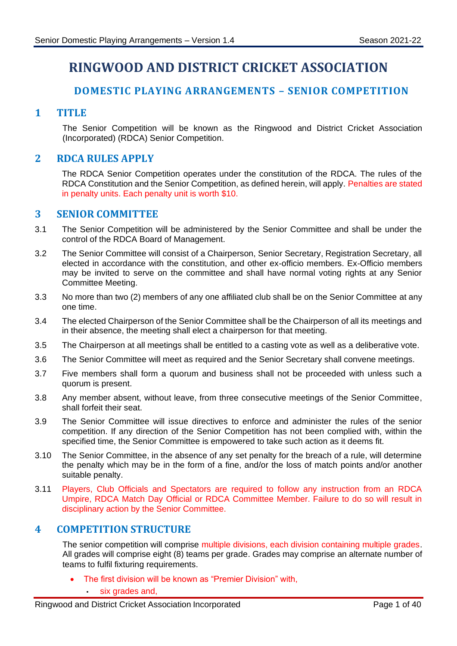# **RINGWOOD AND DISTRICT CRICKET ASSOCIATION**

## **DOMESTIC PLAYING ARRANGEMENTS – SENIOR COMPETITION**

## <span id="page-3-1"></span><span id="page-3-0"></span>**1 TITLE**

The Senior Competition will be known as the Ringwood and District Cricket Association (Incorporated) (RDCA) Senior Competition.

## <span id="page-3-2"></span>**2 RDCA RULES APPLY**

The RDCA Senior Competition operates under the constitution of the RDCA. The rules of the RDCA Constitution and the Senior Competition, as defined herein, will apply. Penalties are stated in penalty units. Each penalty unit is worth \$10.

## <span id="page-3-3"></span>**3 SENIOR COMMITTEE**

- 3.1 The Senior Competition will be administered by the Senior Committee and shall be under the control of the RDCA Board of Management.
- 3.2 The Senior Committee will consist of a Chairperson, Senior Secretary, Registration Secretary, all elected in accordance with the constitution, and other ex-officio members. Ex-Officio members may be invited to serve on the committee and shall have normal voting rights at any Senior Committee Meeting.
- 3.3 No more than two (2) members of any one affiliated club shall be on the Senior Committee at any one time.
- 3.4 The elected Chairperson of the Senior Committee shall be the Chairperson of all its meetings and in their absence, the meeting shall elect a chairperson for that meeting.
- 3.5 The Chairperson at all meetings shall be entitled to a casting vote as well as a deliberative vote.
- 3.6 The Senior Committee will meet as required and the Senior Secretary shall convene meetings.
- 3.7 Five members shall form a quorum and business shall not be proceeded with unless such a quorum is present.
- 3.8 Any member absent, without leave, from three consecutive meetings of the Senior Committee, shall forfeit their seat.
- 3.9 The Senior Committee will issue directives to enforce and administer the rules of the senior competition. If any direction of the Senior Competition has not been complied with, within the specified time, the Senior Committee is empowered to take such action as it deems fit.
- 3.10 The Senior Committee, in the absence of any set penalty for the breach of a rule, will determine the penalty which may be in the form of a fine, and/or the loss of match points and/or another suitable penalty.
- 3.11 Players, Club Officials and Spectators are required to follow any instruction from an RDCA Umpire, RDCA Match Day Official or RDCA Committee Member. Failure to do so will result in disciplinary action by the Senior Committee.

## <span id="page-3-4"></span>**4 COMPETITION STRUCTURE**

The senior competition will comprise multiple divisions, each division containing multiple grades. All grades will comprise eight (8) teams per grade. Grades may comprise an alternate number of teams to fulfil fixturing requirements.

- The first division will be known as "Premier Division" with,
	- six grades and,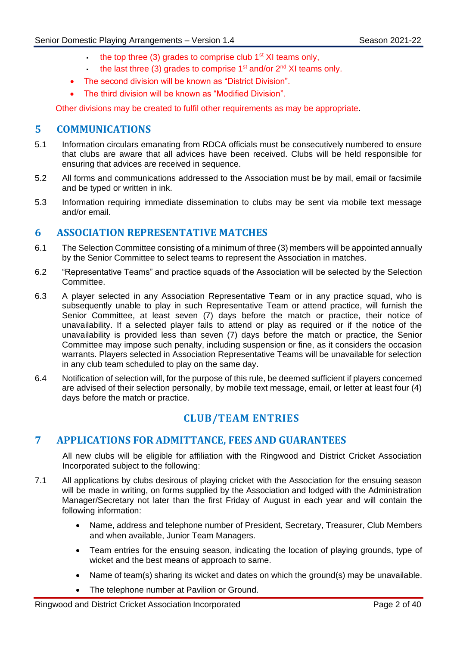- $\cdot$  the top three (3) grades to comprise club  $1<sup>st</sup>$  XI teams only,
	- the last three (3) grades to comprise  $1<sup>st</sup>$  and/or  $2<sup>nd</sup>$  XI teams only.
- The second division will be known as "District Division".
- The third division will be known as "Modified Division".

Other divisions may be created to fulfil other requirements as may be appropriate.

## <span id="page-4-0"></span>**5 COMMUNICATIONS**

- 5.1 Information circulars emanating from RDCA officials must be consecutively numbered to ensure that clubs are aware that all advices have been received. Clubs will be held responsible for ensuring that advices are received in sequence.
- 5.2 All forms and communications addressed to the Association must be by mail, email or facsimile and be typed or written in ink.
- 5.3 Information requiring immediate dissemination to clubs may be sent via mobile text message and/or email.

## <span id="page-4-1"></span>**6 ASSOCIATION REPRESENTATIVE MATCHES**

- 6.1 The Selection Committee consisting of a minimum of three (3) members will be appointed annually by the Senior Committee to select teams to represent the Association in matches.
- 6.2 "Representative Teams" and practice squads of the Association will be selected by the Selection Committee.
- <span id="page-4-4"></span>6.3 A player selected in any Association Representative Team or in any practice squad, who is subsequently unable to play in such Representative Team or attend practice, will furnish the Senior Committee, at least seven (7) days before the match or practice, their notice of unavailability. If a selected player fails to attend or play as required or if the notice of the unavailability is provided less than seven (7) days before the match or practice, the Senior Committee may impose such penalty, including suspension or fine, as it considers the occasion warrants. Players selected in Association Representative Teams will be unavailable for selection in any club team scheduled to play on the same day.
- 6.4 Notification of selection will, for the purpose of this rule, be deemed sufficient if players concerned are advised of their selection personally, by mobile text message, email, or letter at least four (4) days before the match or practice.

## **CLUB/TEAM ENTRIES**

## <span id="page-4-3"></span><span id="page-4-2"></span>**7 APPLICATIONS FOR ADMITTANCE, FEES AND GUARANTEES**

All new clubs will be eligible for affiliation with the Ringwood and District Cricket Association Incorporated subject to the following:

- 7.1 All applications by clubs desirous of playing cricket with the Association for the ensuing season will be made in writing, on forms supplied by the Association and lodged with the Administration Manager/Secretary not later than the first Friday of August in each year and will contain the following information:
	- Name, address and telephone number of President, Secretary, Treasurer, Club Members and when available, Junior Team Managers.
	- Team entries for the ensuing season, indicating the location of playing grounds, type of wicket and the best means of approach to same.
	- Name of team(s) sharing its wicket and dates on which the ground(s) may be unavailable.
	- The telephone number at Pavilion or Ground.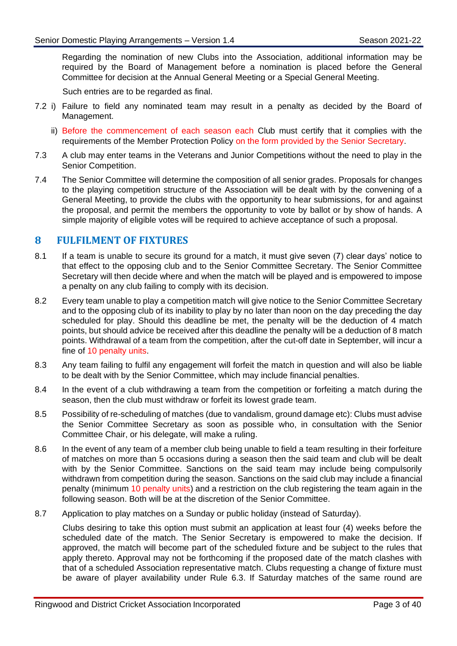Regarding the nomination of new Clubs into the Association, additional information may be required by the Board of Management before a nomination is placed before the General Committee for decision at the Annual General Meeting or a Special General Meeting.

Such entries are to be regarded as final.

- 7.2 i) Failure to field any nominated team may result in a penalty as decided by the Board of Management.
	- ii) Before the commencement of each season each Club must certify that it complies with the requirements of the Member Protection Policy on the form provided by the Senior Secretary.
- 7.3 A club may enter teams in the Veterans and Junior Competitions without the need to play in the Senior Competition.
- 7.4 The Senior Committee will determine the composition of all senior grades. Proposals for changes to the playing competition structure of the Association will be dealt with by the convening of a General Meeting, to provide the clubs with the opportunity to hear submissions, for and against the proposal, and permit the members the opportunity to vote by ballot or by show of hands. A simple majority of eligible votes will be required to achieve acceptance of such a proposal.

## <span id="page-5-0"></span>**8 FULFILMENT OF FIXTURES**

- 8.1 If a team is unable to secure its ground for a match, it must give seven (7) clear days' notice to that effect to the opposing club and to the Senior Committee Secretary. The Senior Committee Secretary will then decide where and when the match will be played and is empowered to impose a penalty on any club failing to comply with its decision.
- 8.2 Every team unable to play a competition match will give notice to the Senior Committee Secretary and to the opposing club of its inability to play by no later than noon on the day preceding the day scheduled for play. Should this deadline be met, the penalty will be the deduction of 4 match points, but should advice be received after this deadline the penalty will be a deduction of 8 match points. Withdrawal of a team from the competition, after the cut-off date in September, will incur a fine of 10 penalty units.
- 8.3 Any team failing to fulfil any engagement will forfeit the match in question and will also be liable to be dealt with by the Senior Committee, which may include financial penalties.
- 8.4 In the event of a club withdrawing a team from the competition or forfeiting a match during the season, then the club must withdraw or forfeit its lowest grade team.
- 8.5 Possibility of re-scheduling of matches (due to vandalism, ground damage etc): Clubs must advise the Senior Committee Secretary as soon as possible who, in consultation with the Senior Committee Chair, or his delegate, will make a ruling.
- 8.6 In the event of any team of a member club being unable to field a team resulting in their forfeiture of matches on more than 5 occasions during a season then the said team and club will be dealt with by the Senior Committee. Sanctions on the said team may include being compulsorily withdrawn from competition during the season. Sanctions on the said club may include a financial penalty (minimum 10 penalty units) and a restriction on the club registering the team again in the following season. Both will be at the discretion of the Senior Committee.
- 8.7 Application to play matches on a Sunday or public holiday (instead of Saturday).

Clubs desiring to take this option must submit an application at least four (4) weeks before the scheduled date of the match. The Senior Secretary is empowered to make the decision. If approved, the match will become part of the scheduled fixture and be subject to the rules that apply thereto. Approval may not be forthcoming if the proposed date of the match clashes with that of a scheduled Association representative match. Clubs requesting a change of fixture must be aware of player availability under Rule [6.3.](#page-4-4) If Saturday matches of the same round are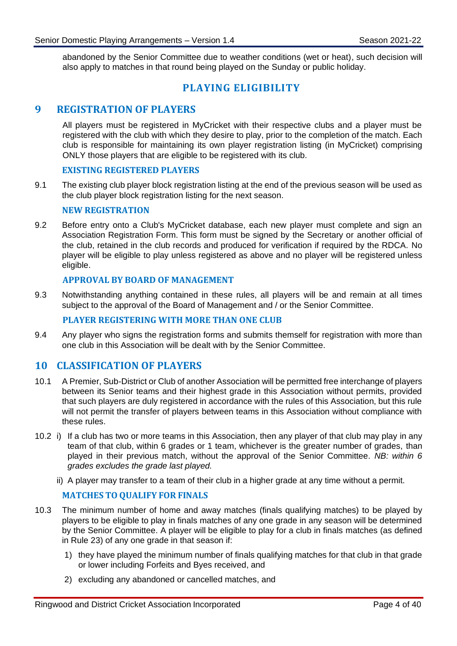abandoned by the Senior Committee due to weather conditions (wet or heat), such decision will also apply to matches in that round being played on the Sunday or public holiday.

## **PLAYING ELIGIBILITY**

## <span id="page-6-1"></span><span id="page-6-0"></span>**9 REGISTRATION OF PLAYERS**

All players must be registered in MyCricket with their respective clubs and a player must be registered with the club with which they desire to play, prior to the completion of the match. Each club is responsible for maintaining its own player registration listing (in MyCricket) comprising ONLY those players that are eligible to be registered with its club.

#### **EXISTING REGISTERED PLAYERS**

9.1 The existing club player block registration listing at the end of the previous season will be used as the club player block registration listing for the next season.

#### **NEW REGISTRATION**

9.2 Before entry onto a Club's MyCricket database, each new player must complete and sign an Association Registration Form. This form must be signed by the Secretary or another official of the club, retained in the club records and produced for verification if required by the RDCA. No player will be eligible to play unless registered as above and no player will be registered unless eligible.

#### **APPROVAL BY BOARD OF MANAGEMENT**

9.3 Notwithstanding anything contained in these rules, all players will be and remain at all times subject to the approval of the Board of Management and / or the Senior Committee.

#### **PLAYER REGISTERING WITH MORE THAN ONE CLUB**

9.4 Any player who signs the registration forms and submits themself for registration with more than one club in this Association will be dealt with by the Senior Committee.

#### <span id="page-6-2"></span>**10 CLASSIFICATION OF PLAYERS**

- 10.1 A Premier, Sub-District or Club of another Association will be permitted free interchange of players between its Senior teams and their highest grade in this Association without permits, provided that such players are duly registered in accordance with the rules of this Association, but this rule will not permit the transfer of players between teams in this Association without compliance with these rules.
- <span id="page-6-3"></span>10.2 i) If a club has two or more teams in this Association, then any player of that club may play in any team of that club, within 6 grades or 1 team, whichever is the greater number of grades, than played in their previous match, without the approval of the Senior Committee. *NB: within 6 grades excludes the grade last played.*
	- ii) A player may transfer to a team of their club in a higher grade at any time without a permit.

#### **MATCHES TO QUALIFY FOR FINALS**

- <span id="page-6-4"></span>10.3 The minimum number of home and away matches (finals qualifying matches) to be played by players to be eligible to play in finals matches of any one grade in any season will be determined by the Senior Committee. A player will be eligible to play for a club in finals matches (as defined in Rule [23\)](#page-24-0) of any one grade in that season if:
	- 1) they have played the minimum number of finals qualifying matches for that club in that grade or lower including Forfeits and Byes received, and
	- 2) excluding any abandoned or cancelled matches, and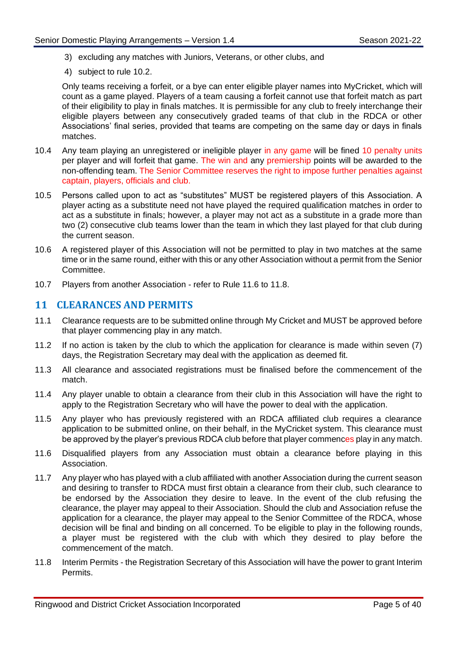- 3) excluding any matches with Juniors, Veterans, or other clubs, and
- 4) subject to rule [10.2.](#page-6-3)

Only teams receiving a forfeit, or a bye can enter eligible player names into MyCricket, which will count as a game played. Players of a team causing a forfeit cannot use that forfeit match as part of their eligibility to play in finals matches. It is permissible for any club to freely interchange their eligible players between any consecutively graded teams of that club in the RDCA or other Associations' final series, provided that teams are competing on the same day or days in finals matches.

- 10.4 Any team playing an unregistered or ineligible player in any game will be fined 10 penalty units per player and will forfeit that game. The win and any premiership points will be awarded to the non-offending team. The Senior Committee reserves the right to impose further penalties against captain, players, officials and club.
- 10.5 Persons called upon to act as "substitutes" MUST be registered players of this Association. A player acting as a substitute need not have played the required qualification matches in order to act as a substitute in finals; however, a player may not act as a substitute in a grade more than two (2) consecutive club teams lower than the team in which they last played for that club during the current season.
- 10.6 A registered player of this Association will not be permitted to play in two matches at the same time or in the same round, either with this or any other Association without a permit from the Senior Committee.
- 10.7 Players from another Association refer to Rule [11.6](#page-7-1) to [11.8.](#page-7-2)

## <span id="page-7-0"></span>**11 CLEARANCES AND PERMITS**

- 11.1 Clearance requests are to be submitted online through My Cricket and MUST be approved before that player commencing play in any match.
- 11.2 If no action is taken by the club to which the application for clearance is made within seven (7) days, the Registration Secretary may deal with the application as deemed fit.
- 11.3 All clearance and associated registrations must be finalised before the commencement of the match.
- 11.4 Any player unable to obtain a clearance from their club in this Association will have the right to apply to the Registration Secretary who will have the power to deal with the application.
- 11.5 Any player who has previously registered with an RDCA affiliated club requires a clearance application to be submitted online, on their behalf, in the MyCricket system. This clearance must be approved by the player's previous RDCA club before that player commences play in any match.
- <span id="page-7-1"></span>11.6 Disqualified players from any Association must obtain a clearance before playing in this Association.
- 11.7 Any player who has played with a club affiliated with another Association during the current season and desiring to transfer to RDCA must first obtain a clearance from their club, such clearance to be endorsed by the Association they desire to leave. In the event of the club refusing the clearance, the player may appeal to their Association. Should the club and Association refuse the application for a clearance, the player may appeal to the Senior Committee of the RDCA, whose decision will be final and binding on all concerned. To be eligible to play in the following rounds, a player must be registered with the club with which they desired to play before the commencement of the match.
- <span id="page-7-2"></span>11.8 Interim Permits - the Registration Secretary of this Association will have the power to grant Interim Permits.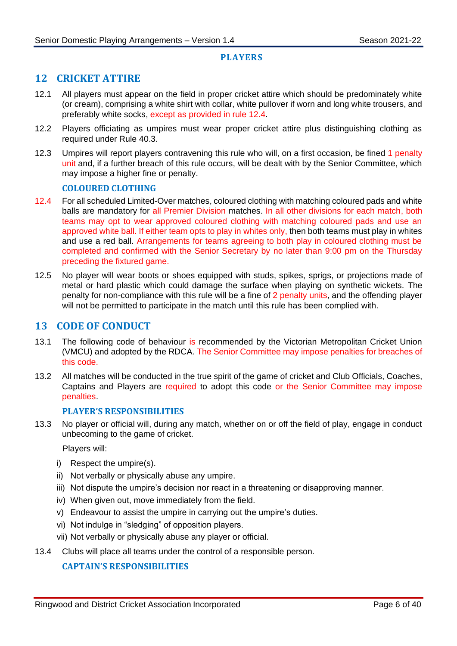#### **PLAYERS**

## <span id="page-8-1"></span><span id="page-8-0"></span>**12 CRICKET ATTIRE**

- 12.1 All players must appear on the field in proper cricket attire which should be predominately white (or cream), comprising a white shirt with collar, white pullover if worn and long white trousers, and preferably white socks, except as provided in rule [12.4.](#page-8-3)
- 12.2 Players officiating as umpires must wear proper cricket attire plus distinguishing clothing as required under Rule [40.3.](#page-35-3)
- 12.3 Umpires will report players contravening this rule who will, on a first occasion, be fined 1 penalty unit and, if a further breach of this rule occurs, will be dealt with by the Senior Committee, which may impose a higher fine or penalty.

#### **COLOURED CLOTHING**

- <span id="page-8-3"></span>12.4 For all scheduled Limited-Over matches, coloured clothing with matching coloured pads and white balls are mandatory for all Premier Division matches. In all other divisions for each match, both teams may opt to wear approved coloured clothing with matching coloured pads and use an approved white ball. If either team opts to play in whites only, then both teams must play in whites and use a red ball. Arrangements for teams agreeing to both play in coloured clothing must be completed and confirmed with the Senior Secretary by no later than 9:00 pm on the Thursday preceding the fixtured game.
- 12.5 No player will wear boots or shoes equipped with studs, spikes, sprigs, or projections made of metal or hard plastic which could damage the surface when playing on synthetic wickets. The penalty for non-compliance with this rule will be a fine of 2 penalty units, and the offending player will not be permitted to participate in the match until this rule has been complied with.

#### <span id="page-8-2"></span>**13 CODE OF CONDUCT**

- 13.1 The following code of behaviour is recommended by the Victorian Metropolitan Cricket Union (VMCU) and adopted by the RDCA. The Senior Committee may impose penalties for breaches of this code.
- 13.2 All matches will be conducted in the true spirit of the game of cricket and Club Officials, Coaches, Captains and Players are required to adopt this code or the Senior Committee may impose penalties.

#### **PLAYER'S RESPONSIBILITIES**

13.3 No player or official will, during any match, whether on or off the field of play, engage in conduct unbecoming to the game of cricket.

Players will:

- i) Respect the umpire(s).
- ii) Not verbally or physically abuse any umpire.
- iii) Not dispute the umpire's decision nor react in a threatening or disapproving manner.
- iv) When given out, move immediately from the field.
- v) Endeavour to assist the umpire in carrying out the umpire's duties.
- vi) Not indulge in "sledging" of opposition players.
- vii) Not verbally or physically abuse any player or official.
- 13.4 Clubs will place all teams under the control of a responsible person.

#### **CAPTAIN'S RESPONSIBILITIES**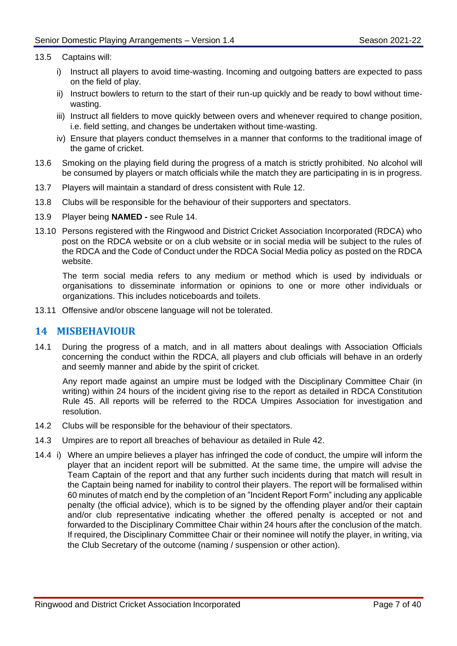#### 13.5 Captains will:

- i) Instruct all players to avoid time-wasting. Incoming and outgoing batters are expected to pass on the field of play.
- ii) Instruct bowlers to return to the start of their run-up quickly and be ready to bowl without timewasting.
- iii) Instruct all fielders to move quickly between overs and whenever required to change position, i.e. field setting, and changes be undertaken without time-wasting.
- iv) Ensure that players conduct themselves in a manner that conforms to the traditional image of the game of cricket.
- 13.6 Smoking on the playing field during the progress of a match is strictly prohibited. No alcohol will be consumed by players or match officials while the match they are participating in is in progress.
- 13.7 Players will maintain a standard of dress consistent with Rule [12.](#page-8-1)
- 13.8 Clubs will be responsible for the behaviour of their supporters and spectators.
- 13.9 Player being **NAMED -** see Rule [14.](#page-9-0)
- 13.10 Persons registered with the Ringwood and District Cricket Association Incorporated (RDCA) who post on the RDCA website or on a club website or in social media will be subject to the rules of the RDCA and the Code of Conduct under the RDCA Social Media policy as posted on the RDCA website.

The term social media refers to any medium or method which is used by individuals or organisations to disseminate information or opinions to one or more other individuals or organizations. This includes noticeboards and toilets.

13.11 Offensive and/or obscene language will not be tolerated.

#### <span id="page-9-0"></span>**14 MISBEHAVIOUR**

14.1 During the progress of a match, and in all matters about dealings with Association Officials concerning the conduct within the RDCA, all players and club officials will behave in an orderly and seemly manner and abide by the spirit of cricket.

Any report made against an umpire must be lodged with the Disciplinary Committee Chair (in writing) within 24 hours of the incident giving rise to the report as detailed in RDCA Constitution Rule 45. All reports will be referred to the RDCA Umpires Association for investigation and resolution.

- 14.2 Clubs will be responsible for the behaviour of their spectators.
- 14.3 Umpires are to report all breaches of behaviour as detailed in Rule [42.](#page-36-1)
- <span id="page-9-1"></span>14.4 i) Where an umpire believes a player has infringed the code of conduct, the umpire will inform the player that an incident report will be submitted. At the same time, the umpire will advise the Team Captain of the report and that any further such incidents during that match will result in the Captain being named for inability to control their players. The report will be formalised within 60 minutes of match end by the completion of an "Incident Report Form" including any applicable penalty (the official advice), which is to be signed by the offending player and/or their captain and/or club representative indicating whether the offered penalty is accepted or not and forwarded to the Disciplinary Committee Chair within 24 hours after the conclusion of the match. If required, the Disciplinary Committee Chair or their nominee will notify the player, in writing, via the Club Secretary of the outcome (naming / suspension or other action).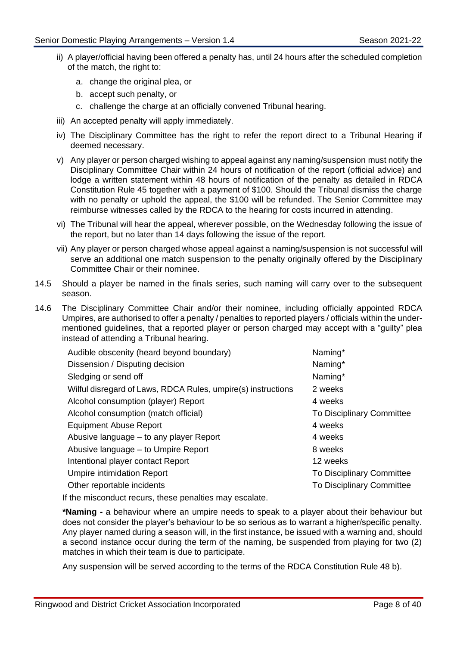- ii) A player/official having been offered a penalty has, until 24 hours after the scheduled completion of the match, the right to:
	- a. change the original plea, or
	- b. accept such penalty, or
	- c. challenge the charge at an officially convened Tribunal hearing.
- iii) An accepted penalty will apply immediately.
- iv) The Disciplinary Committee has the right to refer the report direct to a Tribunal Hearing if deemed necessary.
- v) Any player or person charged wishing to appeal against any naming/suspension must notify the Disciplinary Committee Chair within 24 hours of notification of the report (official advice) and lodge a written statement within 48 hours of notification of the penalty as detailed in RDCA Constitution Rule 45 together with a payment of \$100. Should the Tribunal dismiss the charge with no penalty or uphold the appeal, the \$100 will be refunded. The Senior Committee may reimburse witnesses called by the RDCA to the hearing for costs incurred in attending.
- vi) The Tribunal will hear the appeal, wherever possible, on the Wednesday following the issue of the report, but no later than 14 days following the issue of the report.
- vii) Any player or person charged whose appeal against a naming/suspension is not successful will serve an additional one match suspension to the penalty originally offered by the Disciplinary Committee Chair or their nominee.
- 14.5 Should a player be named in the finals series, such naming will carry over to the subsequent season.
- 14.6 The Disciplinary Committee Chair and/or their nominee, including officially appointed RDCA Umpires, are authorised to offer a penalty / penalties to reported players / officials within the undermentioned guidelines, that a reported player or person charged may accept with a "guilty" plea instead of attending a Tribunal hearing.

| Audible obscenity (heard beyond boundary)                    | Naming*                          |
|--------------------------------------------------------------|----------------------------------|
| Dissension / Disputing decision                              | Naming*                          |
| Sledging or send off                                         | Naming*                          |
| Wilful disregard of Laws, RDCA Rules, umpire(s) instructions | 2 weeks                          |
| Alcohol consumption (player) Report                          | 4 weeks                          |
| Alcohol consumption (match official)                         | <b>To Disciplinary Committee</b> |
| <b>Equipment Abuse Report</b>                                | 4 weeks                          |
| Abusive language – to any player Report                      | 4 weeks                          |
| Abusive language – to Umpire Report                          | 8 weeks                          |
| Intentional player contact Report                            | 12 weeks                         |
| <b>Umpire intimidation Report</b>                            | <b>To Disciplinary Committee</b> |
| Other reportable incidents                                   | <b>To Disciplinary Committee</b> |

If the misconduct recurs, these penalties may escalate.

**\*Naming -** a behaviour where an umpire needs to speak to a player about their behaviour but does not consider the player's behaviour to be so serious as to warrant a higher/specific penalty. Any player named during a season will, in the first instance, be issued with a warning and, should a second instance occur during the term of the naming, be suspended from playing for two (2) matches in which their team is due to participate.

Any suspension will be served according to the terms of the RDCA Constitution Rule 48 b).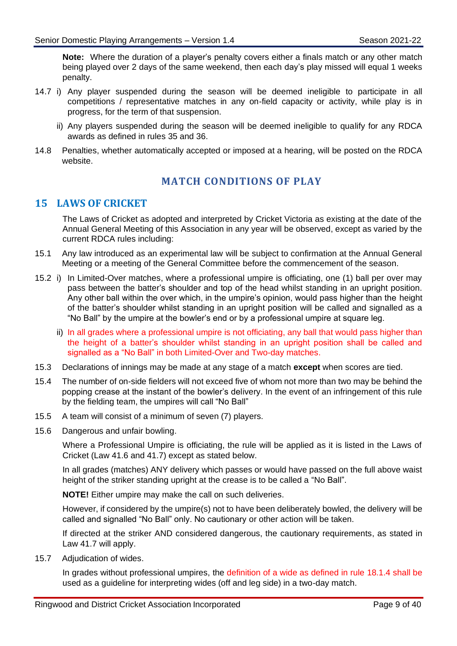**Note:** Where the duration of a player's penalty covers either a finals match or any other match being played over 2 days of the same weekend, then each day's play missed will equal 1 weeks penalty.

- 14.7 i) Any player suspended during the season will be deemed ineligible to participate in all competitions / representative matches in any on-field capacity or activity, while play is in progress, for the term of that suspension.
	- ii) Any players suspended during the season will be deemed ineligible to qualify for any RDCA awards as defined in rules [35](#page-32-1) and [36.](#page-33-0)
- <span id="page-11-0"></span>14.8 Penalties, whether automatically accepted or imposed at a hearing, will be posted on the RDCA website.

## **MATCH CONDITIONS OF PLAY**

## <span id="page-11-1"></span>**15 LAWS OF CRICKET**

The Laws of Cricket as adopted and interpreted by Cricket Victoria as existing at the date of the Annual General Meeting of this Association in any year will be observed, except as varied by the current RDCA rules including:

- 15.1 Any law introduced as an experimental law will be subject to confirmation at the Annual General Meeting or a meeting of the General Committee before the commencement of the season.
- 15.2 i) In Limited-Over matches, where a professional umpire is officiating, one (1) ball per over may pass between the batter's shoulder and top of the head whilst standing in an upright position. Any other ball within the over which, in the umpire's opinion, would pass higher than the height of the batter's shoulder whilst standing in an upright position will be called and signalled as a "No Ball" by the umpire at the bowler's end or by a professional umpire at square leg.
	- ii) In all grades where a professional umpire is not officiating, any ball that would pass higher than the height of a batter's shoulder whilst standing in an upright position shall be called and signalled as a "No Ball" in both Limited-Over and Two-day matches.
- 15.3 Declarations of innings may be made at any stage of a match **except** when scores are tied.
- 15.4 The number of on-side fielders will not exceed five of whom not more than two may be behind the popping crease at the instant of the bowler's delivery. In the event of an infringement of this rule by the fielding team, the umpires will call "No Ball"
- 15.5 A team will consist of a minimum of seven (7) players.
- 15.6 Dangerous and unfair bowling.

Where a Professional Umpire is officiating, the rule will be applied as it is listed in the Laws of Cricket (Law 41.6 and 41.7) except as stated below.

In all grades (matches) ANY delivery which passes or would have passed on the full above waist height of the striker standing upright at the crease is to be called a "No Ball".

**NOTE!** Either umpire may make the call on such deliveries.

However, if considered by the umpire(s) not to have been deliberately bowled, the delivery will be called and signalled "No Ball" only. No cautionary or other action will be taken.

If directed at the striker AND considered dangerous, the cautionary requirements, as stated in Law 41.7 will apply.

15.7 Adjudication of wides.

In grades without professional umpires, the definition of a wide as defined in rule [18.1.4](#page-14-0) shall be used as a guideline for interpreting wides (off and leg side) in a two-day match.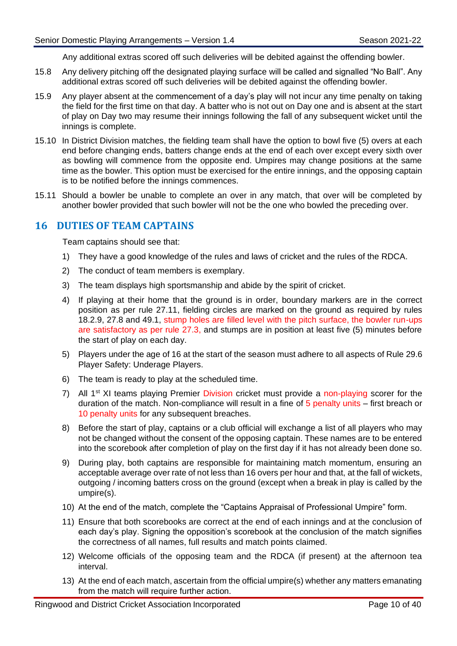Any additional extras scored off such deliveries will be debited against the offending bowler.

- 15.8 Any delivery pitching off the designated playing surface will be called and signalled "No Ball". Any additional extras scored off such deliveries will be debited against the offending bowler.
- 15.9 Any player absent at the commencement of a day's play will not incur any time penalty on taking the field for the first time on that day. A batter who is not out on Day one and is absent at the start of play on Day two may resume their innings following the fall of any subsequent wicket until the innings is complete.
- 15.10 In District Division matches, the fielding team shall have the option to bowl five (5) overs at each end before changing ends, batters change ends at the end of each over except every sixth over as bowling will commence from the opposite end. Umpires may change positions at the same time as the bowler. This option must be exercised for the entire innings, and the opposing captain is to be notified before the innings commences.
- 15.11 Should a bowler be unable to complete an over in any match, that over will be completed by another bowler provided that such bowler will not be the one who bowled the preceding over.

## <span id="page-12-0"></span>**16 DUTIES OF TEAM CAPTAINS**

Team captains should see that:

- 1) They have a good knowledge of the rules and laws of cricket and the rules of the RDCA.
- 2) The conduct of team members is exemplary.
- 3) The team displays high sportsmanship and abide by the spirit of cricket.
- 4) If playing at their home that the ground is in order, boundary markers are in the correct position as per rule [27.11,](#page-27-0) fielding circles are marked on the ground as required by rules [18.2.9,](#page-15-0) [27.8](#page-27-1) and [49.1,](#page-39-3) stump holes are filled level with the pitch surface, the bowler run-ups are satisfactory as per rule [27.3,](#page-27-2) and stumps are in position at least five (5) minutes before the start of play on each day.
- 5) Players under the age of 16 at the start of the season must adhere to all aspects of Rule [29.6](#page-28-2) Player Safety: Underage Players.
- 6) The team is ready to play at the scheduled time.
- 7) All  $1^{st}$  XI teams playing Premier Division cricket must provide a non-playing scorer for the duration of the match. Non-compliance will result in a fine of 5 penalty units – first breach or 10 penalty units for any subsequent breaches.
- 8) Before the start of play, captains or a club official will exchange a list of all players who may not be changed without the consent of the opposing captain. These names are to be entered into the scorebook after completion of play on the first day if it has not already been done so.
- 9) During play, both captains are responsible for maintaining match momentum, ensuring an acceptable average over rate of not less than 16 overs per hour and that, at the fall of wickets, outgoing / incoming batters cross on the ground (except when a break in play is called by the umpire(s).
- 10) At the end of the match, complete the "Captains Appraisal of Professional Umpire" form.
- 11) Ensure that both scorebooks are correct at the end of each innings and at the conclusion of each day's play. Signing the opposition's scorebook at the conclusion of the match signifies the correctness of all names, full results and match points claimed.
- 12) Welcome officials of the opposing team and the RDCA (if present) at the afternoon tea interval.
- 13) At the end of each match, ascertain from the official umpire(s) whether any matters emanating from the match will require further action.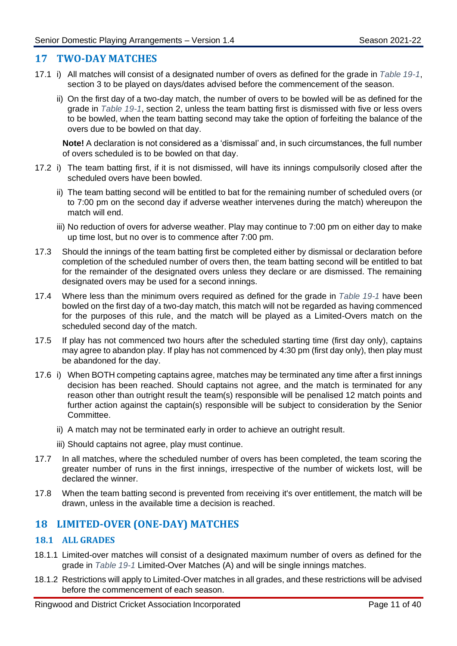#### <span id="page-13-0"></span>**17 TWO-DAY MATCHES**

- 17.1 i) All matches will consist of a designated number of overs as defined for the grade in *[Table 19-1](#page-19-1)*, section 3 to be played on days/dates advised before the commencement of the season.
	- ii) On the first day of a two-day match, the number of overs to be bowled will be as defined for the grade in *[Table 19-1](#page-19-1)*, section 2, unless the team batting first is dismissed with five or less overs to be bowled, when the team batting second may take the option of forfeiting the balance of the overs due to be bowled on that day.

**Note!** A declaration is not considered as a 'dismissal' and, in such circumstances, the full number of overs scheduled is to be bowled on that day.

- 17.2 i) The team batting first, if it is not dismissed, will have its innings compulsorily closed after the scheduled overs have been bowled.
	- ii) The team batting second will be entitled to bat for the remaining number of scheduled overs (or to 7:00 pm on the second day if adverse weather intervenes during the match) whereupon the match will end.
	- iii) No reduction of overs for adverse weather. Play may continue to 7:00 pm on either day to make up time lost, but no over is to commence after 7:00 pm.
- 17.3 Should the innings of the team batting first be completed either by dismissal or declaration before completion of the scheduled number of overs then, the team batting second will be entitled to bat for the remainder of the designated overs unless they declare or are dismissed. The remaining designated overs may be used for a second innings.
- 17.4 Where less than the minimum overs required as defined for the grade in *[Table 19-1](#page-19-1)* have been bowled on the first day of a two-day match, this match will not be regarded as having commenced for the purposes of this rule, and the match will be played as a Limited-Overs match on the scheduled second day of the match.
- 17.5 If play has not commenced two hours after the scheduled starting time (first day only), captains may agree to abandon play. If play has not commenced by 4:30 pm (first day only), then play must be abandoned for the day.
- 17.6 i) When BOTH competing captains agree, matches may be terminated any time after a first innings decision has been reached. Should captains not agree, and the match is terminated for any reason other than outright result the team(s) responsible will be penalised 12 match points and further action against the captain(s) responsible will be subject to consideration by the Senior Committee.
	- ii) A match may not be terminated early in order to achieve an outright result.
	- iii) Should captains not agree, play must continue.
- 17.7 In all matches, where the scheduled number of overs has been completed, the team scoring the greater number of runs in the first innings, irrespective of the number of wickets lost, will be declared the winner.
- 17.8 When the team batting second is prevented from receiving it's over entitlement, the match will be drawn, unless in the available time a decision is reached.

## <span id="page-13-1"></span>**18 LIMITED-OVER (ONE-DAY) MATCHES**

#### **18.1 ALL GRADES**

- 18.1.1 Limited-over matches will consist of a designated maximum number of overs as defined for the grade in *[Table 19-1](#page-19-1)* Limited-Over Matches (A) and will be single innings matches.
- 18.1.2 Restrictions will apply to Limited-Over matches in all grades, and these restrictions will be advised before the commencement of each season.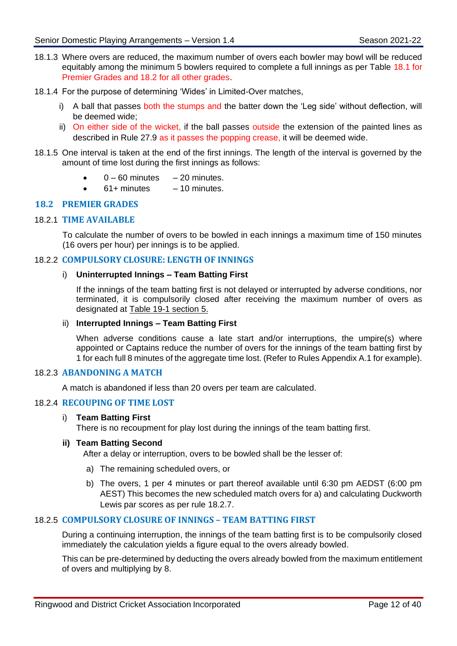- 18.1.3 Where overs are reduced, the maximum number of overs each bowler may bowl will be reduced equitably among the minimum 5 bowlers required to complete a full innings as per Table 18.1 for Premier Grades and 18.2 for all other grades.
- <span id="page-14-0"></span>18.1.4 For the purpose of determining 'Wides' in Limited-Over matches,
	- i) A ball that passes both the stumps and the batter down the 'Leg side' without deflection, will be deemed wide;
	- ii) On either side of the wicket, if the ball passes outside the extension of the painted lines as described in Rule 27.9 as it passes the popping crease, it will be deemed wide.
- 18.1.5 One interval is taken at the end of the first innings. The length of the interval is governed by the amount of time lost during the first innings as follows:
	- $\bullet$  0 60 minutes 20 minutes.
	- $61+$  minutes  $-10$  minutes.

#### **18.2 PREMIER GRADES**

#### 18.2.1 **TIME AVAILABLE**

To calculate the number of overs to be bowled in each innings a maximum time of 150 minutes (16 overs per hour) per innings is to be applied.

#### 18.2.2 **COMPULSORY CLOSURE: LENGTH OF INNINGS**

#### i) **Uninterrupted Innings – Team Batting First**

If the innings of the team batting first is not delayed or interrupted by adverse conditions, nor terminated, it is compulsorily closed after receiving the maximum number of overs as designated at Table 19-1 section 5.

#### <span id="page-14-1"></span>ii) **Interrupted Innings – Team Batting First**

When adverse conditions cause a late start and/or interruptions, the umpire(s) where appointed or Captains reduce the number of overs for the innings of the team batting first by 1 for each full 8 minutes of the aggregate time lost. (Refer to Rules Appendix A.1 for example).

#### 18.2.3 **ABANDONING A MATCH**

A match is abandoned if less than 20 overs per team are calculated.

#### 18.2.4 **RECOUPING OF TIME LOST**

#### i) **Team Batting First**

There is no recoupment for play lost during the innings of the team batting first.

#### **ii) Team Batting Second**

After a delay or interruption, overs to be bowled shall be the lesser of:

- a) The remaining scheduled overs, or
- b) The overs, 1 per 4 minutes or part thereof available until 6:30 pm AEDST (6:00 pm AEST) This becomes the new scheduled match overs for a) and calculating Duckworth Lewis par scores as per rule [18.2.7.](#page-15-1)

#### 18.2.5 **COMPULSORY CLOSURE OF INNINGS – TEAM BATTING FIRST**

During a continuing interruption, the innings of the team batting first is to be compulsorily closed immediately the calculation yields a figure equal to the overs already bowled.

This can be pre-determined by deducting the overs already bowled from the maximum entitlement of overs and multiplying by 8.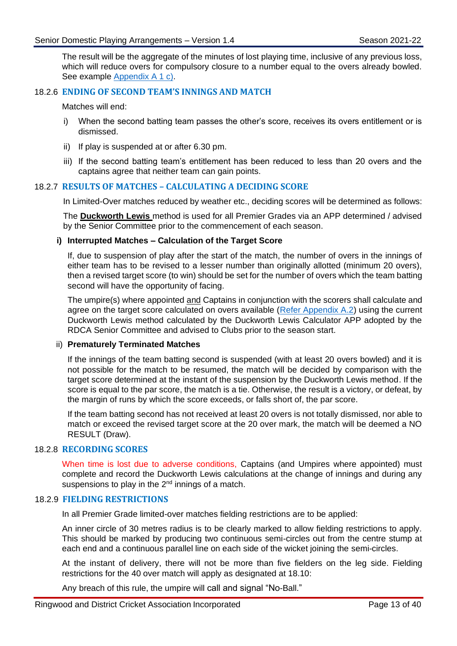The result will be the aggregate of the minutes of lost playing time, inclusive of any previous loss, which will reduce overs for compulsory closure to a number equal to the overs already bowled. See example [Appendix A 1 c\).](#page-42-0)

#### 18.2.6 **ENDING OF SECOND TEAM'S INNINGS AND MATCH**

Matches will end:

- i) When the second batting team passes the other's score, receives its overs entitlement or is dismissed.
- ii) If play is suspended at or after 6.30 pm.
- iii) If the second batting team's entitlement has been reduced to less than 20 overs and the captains agree that neither team can gain points.

#### <span id="page-15-1"></span>18.2.7 **RESULTS OF MATCHES – CALCULATING A DECIDING SCORE**

In Limited-Over matches reduced by weather etc., deciding scores will be determined as follows:

The **Duckworth Lewis** method is used for all Premier Grades via an APP determined / advised by the Senior Committee prior to the commencement of each season.

#### **i) Interrupted Matches – Calculation of the Target Score**

If, due to suspension of play after the start of the match, the number of overs in the innings of either team has to be revised to a lesser number than originally allotted (minimum 20 overs), then a revised target score (to win) should be set for the number of overs which the team batting second will have the opportunity of facing.

The umpire(s) where appointed and Captains in conjunction with the scorers shall calculate and agree on the target score calculated on overs available [\(Refer Appendix A.2\)](#page-42-1) using the current Duckworth Lewis method calculated by the Duckworth Lewis Calculator APP adopted by the RDCA Senior Committee and advised to Clubs prior to the season start.

#### ii) **Prematurely Terminated Matches**

If the innings of the team batting second is suspended (with at least 20 overs bowled) and it is not possible for the match to be resumed, the match will be decided by comparison with the target score determined at the instant of the suspension by the Duckworth Lewis method. If the score is equal to the par score, the match is a tie. Otherwise, the result is a victory, or defeat, by the margin of runs by which the score exceeds, or falls short of, the par score.

If the team batting second has not received at least 20 overs is not totally dismissed, nor able to match or exceed the revised target score at the 20 over mark, the match will be deemed a NO RESULT (Draw).

#### 18.2.8 **RECORDING SCORES**

When time is lost due to adverse conditions, Captains (and Umpires where appointed) must complete and record the Duckworth Lewis calculations at the change of innings and during any suspensions to play in the  $2<sup>nd</sup>$  innings of a match.

#### <span id="page-15-0"></span>18.2.9 **FIELDING RESTRICTIONS**

In all Premier Grade limited-over matches fielding restrictions are to be applied:

An inner circle of 30 metres radius is to be clearly marked to allow fielding restrictions to apply. This should be marked by producing two continuous semi-circles out from the centre stump at each end and a continuous parallel line on each side of the wicket joining the semi-circles.

At the instant of delivery, there will not be more than five fielders on the leg side. Fielding restrictions for the 40 over match will apply as designated at 18.10:

Any breach of this rule, the umpire will call and signal "No-Ball."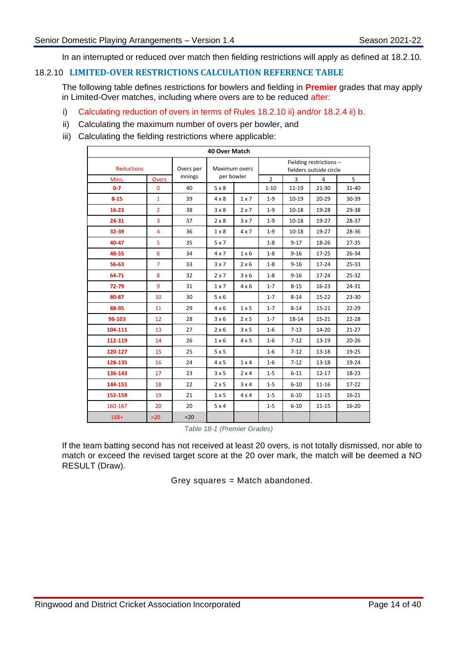In an interrupted or reduced over match then fielding restrictions will apply as defined at [18.2.10.](#page-16-0)

#### <span id="page-16-0"></span>18.2.10 **LIMITED-OVER RESTRICTIONS CALCULATION REFERENCE TABLE**

The following table defines restrictions for bowlers and fielding in **Premier** grades that may apply in Limited-Over matches, including where overs are to be reduced after:

- i) Calculating reduction of overs in terms of Rules [18.2.10](#page-16-0) [ii\)](#page-14-1) and/or 18.2.4 ii) b.
- ii) Calculating the maximum number of overs per bowler, and
- iii) Calculating the fielding restrictions where applicable:

| 40 Over Match     |                              |           |                             |              |                                                          |           |           |           |  |
|-------------------|------------------------------|-----------|-----------------------------|--------------|----------------------------------------------------------|-----------|-----------|-----------|--|
| <b>Reductions</b> |                              | Overs per | Maximum overs<br>per bowler |              | Fielding restrictions -                                  |           |           |           |  |
| Mins.             |                              |           |                             |              | fielders outside circle<br>$\overline{2}$<br>3<br>5<br>4 |           |           |           |  |
| $0 - 7$           | <b>Overs</b><br>$\mathbf{0}$ | 40        | $5 \times 8$                |              | $1 - 10$                                                 | $11 - 19$ | $21 - 30$ | 31-40     |  |
| $8 - 15$          | $\mathbf{1}$                 | 39        | $4 \times 8$                | 1x7          | $1 - 9$                                                  | $10 - 19$ | 20-29     | 30-39     |  |
| $16 - 23$         | $\overline{2}$               | 38        | $3 \times 8$                | 2x7          | $1 - 9$                                                  | $10 - 18$ | 19-28     | 29-38     |  |
| 24-31             | 3                            | 37        | $2 \times 8$                | 3x7          | $1 - 9$                                                  | $10 - 18$ | 19-27     | 28-37     |  |
| 32-39             | $\overline{4}$               | 36        | $1 \times 8$                | $4 \times 7$ | $1 - 9$                                                  | $10 - 18$ | 19-27     | 28-36     |  |
| 40-47             | 5                            | 35        | 5x7                         |              | $1 - 8$                                                  | $9 - 17$  | 18-26     | $27 - 35$ |  |
| 48-55             | 6                            | 34        | $4 \times 7$                | $1 \times 6$ | $1 - 8$                                                  | $9 - 16$  | 17-25     | 26-34     |  |
| 56-63             | $\overline{7}$               | 33        | 3x7                         | $2 \times 6$ | $1 - 8$                                                  | $9 - 16$  | $17 - 24$ | 25-33     |  |
| 64-71             | 8                            | 32        | 2x7                         | 3x6          | $1 - 8$                                                  | $9 - 16$  | 17-24     | 25-32     |  |
| 72-79             | 9                            | 31        | $1 \times 7$                | $4 \times 6$ | $1 - 7$                                                  | $8 - 15$  | $16 - 23$ | 24-31     |  |
| 80-87             | 10                           | 30        | 5x6                         |              | $1 - 7$                                                  | $8 - 14$  | $15 - 22$ | 23-30     |  |
| 88-95             | 11                           | 29        | $4 \times 6$                | $1 \times 5$ | $1 - 7$                                                  | $8 - 14$  | $15 - 21$ | 22-29     |  |
| 96-103            | 12                           | 28        | 3x6                         | 2x5          | $1 - 7$                                                  | 18-14     | $15 - 21$ | 22-28     |  |
| 104-111           | 13                           | 27        | $2 \times 6$                | $3 \times 5$ | $1-6$                                                    | $7 - 13$  | 14-20     | $21 - 27$ |  |
| 112-119           | 14                           | 26        | $1 \times 6$                | $4 \times 5$ | $1-6$                                                    | $7 - 12$  | 13-19     | $20 - 26$ |  |
| 120-127           | 15                           | 25        | 5x5                         |              | $1-6$                                                    | $7 - 12$  | $13 - 18$ | 19-25     |  |
| 128-135           | 16                           | 24        | 4x5                         | $1 \times 4$ | $1 - 6$                                                  | $7 - 12$  | 13-18     | 19-24     |  |
| 136-143           | 17                           | 23        | 3x5                         | $2 \times 4$ | $1 - 5$                                                  | $6 - 11$  | $12 - 17$ | 18-23     |  |
| 144-151           | 18                           | 22        | 2x5                         | 3x4          | $1 - 5$                                                  | $6 - 10$  | $11 - 16$ | $17 - 22$ |  |
| 152-159           | 19                           | 21        | 1 x 5                       | $4 \times 4$ | $1 - 5$                                                  | $6 - 10$  | $11 - 15$ | $16 - 21$ |  |
| 160-167           | 20                           | 20        | 5x4                         |              | $1 - 5$                                                  | $6 - 10$  | 11-15     | 16-20     |  |
| $168+$            | $>20$                        | $20$      |                             |              |                                                          |           |           |           |  |

*Table 18-1 (Premier Grades)*

If the team batting second has not received at least 20 overs, is not totally dismissed, nor able to match or exceed the revised target score at the 20 over mark, the match will be deemed a NO RESULT (Draw).

Grey squares = Match abandoned.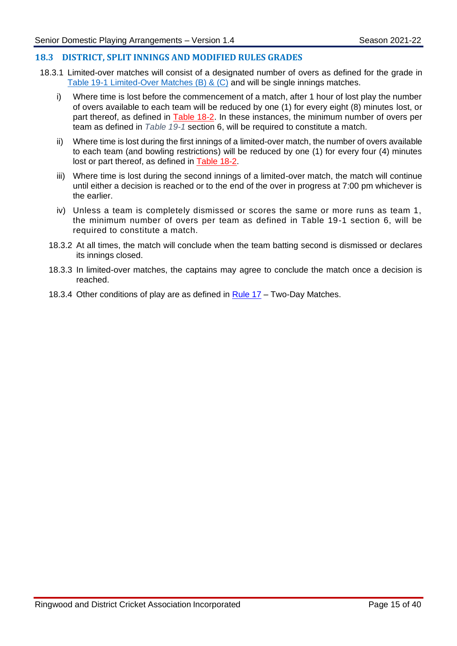#### **18.3 DISTRICT, SPLIT INNINGS AND MODIFIED RULES GRADES**

- 18.3.1 Limited-over matches will consist of a designated number of overs as defined for the grade in Table 19-1 Limited-Over Matches (B) & (C) and will be single innings matches.
	- i) Where time is lost before the commencement of a match, after 1 hour of lost play the number of overs available to each team will be reduced by one (1) for every eight (8) minutes lost, or part thereof, as defined in [Table 18-2.](file:///C:/Users/stuar/AppData/Local/Microsoft/Windows/INetCache/Content.Outlook/EZ2JCLYV/Amended%20Rule%2018%20V.4%20(002).docx%23Table_19_2) In these instances, the minimum number of overs per team as defined in *[Table 19-1](#page-19-1)* section 6, will be required to constitute a match.
	- ii) Where time is lost during the first innings of a limited-over match, the number of overs available to each team (and bowling restrictions) will be reduced by one (1) for every four (4) minutes lost or part thereof, as defined in [Table 18-2.](file:///C:/Users/stuar/AppData/Local/Microsoft/Windows/INetCache/Content.Outlook/EZ2JCLYV/Amended%20Rule%2018%20V.4%20(002).docx%23Table_19_2)
	- iii) Where time is lost during the second innings of a limited-over match, the match will continue until either a decision is reached or to the end of the over in progress at 7:00 pm whichever is the earlier.
	- iv) Unless a team is completely dismissed or scores the same or more runs as team 1, the minimum number of overs per team as defined in Table 19-1 section 6, will be required to constitute a match.
	- 18.3.2 At all times, the match will conclude when the team batting second is dismissed or declares its innings closed.
	- 18.3.3 In limited-over matches, the captains may agree to conclude the match once a decision is reached.
	- 18.3.4 Other conditions of play are as defined in [Rule 17](file:///C:/Users/stuar/AppData/Local/Microsoft/Windows/INetCache/Content.Outlook/EZ2JCLYV/Amended%20Rule%2018%20V.4%20(002).docx%23Rule_17) Two-Day Matches.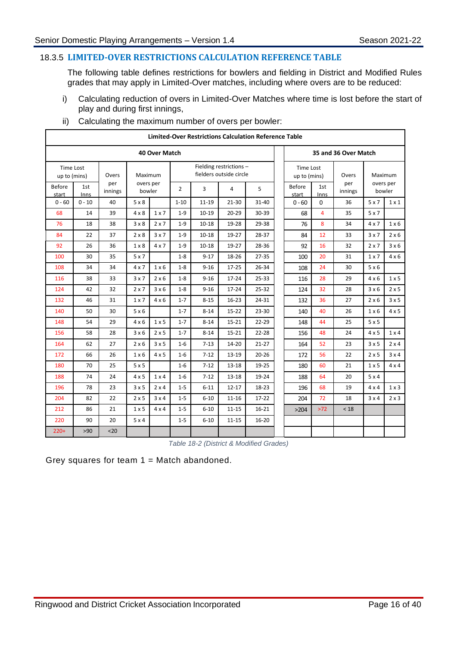#### 18.3.5 **LIMITED-OVER RESTRICTIONS CALCULATION REFERENCE TABLE**

The following table defines restrictions for bowlers and fielding in District and Modified Rules grades that may apply in Limited-Over matches, including where overs are to be reduced:

i) Calculating reduction of overs in Limited-Over Matches where time is lost before the start of play and during first innings,

| <b>Limited-Over Restrictions Calculation Reference Table</b> |                      |                |                     |              |                |           |                                                    |           |                                  |                      |                |              |                     |
|--------------------------------------------------------------|----------------------|----------------|---------------------|--------------|----------------|-----------|----------------------------------------------------|-----------|----------------------------------|----------------------|----------------|--------------|---------------------|
|                                                              | <b>40 Over Match</b> |                |                     |              |                |           |                                                    |           |                                  | 35 and 36 Over Match |                |              |                     |
| Time Lost<br>up to (mins)                                    |                      | Overs          | Maximum             |              |                |           | Fielding restrictions -<br>fielders outside circle |           | <b>Time Lost</b><br>up to (mins) |                      | Overs          |              | Maximum             |
| <b>Before</b><br>start                                       | 1st<br><b>Inns</b>   | per<br>innings | overs per<br>bowler |              | $\overline{2}$ | 3         | 4                                                  | 5         | Before<br>start                  | 1st<br><b>Inns</b>   | per<br>innings |              | overs per<br>bowler |
| $0 - 60$                                                     | $0 - 10$             | 40             | $5 \times 8$        |              | $1 - 10$       | 11-19     | 21-30                                              | 31-40     | $0 - 60$                         | 0                    | 36             | 5x7          | $1 \times 1$        |
| 68                                                           | 14                   | 39             | $4 \times 8$        | 1x7          | $1-9$          | $10 - 19$ | $20 - 29$                                          | 30-39     | 68                               | $\overline{4}$       | 35             | 5x7          |                     |
| 76                                                           | 18                   | 38             | $3 \times 8$        | $2 \times 7$ | $1 - 9$        | $10 - 18$ | 19-28                                              | 29-38     | 76                               | 8                    | 34             | $4 \times 7$ | $1 \times 6$        |
| 84                                                           | 22                   | 37             | $2 \times 8$        | 3x7          | $1 - 9$        | $10 - 18$ | 19-27                                              | 28-37     | 84                               | 12                   | 33             | 3x7          | $2 \times 6$        |
| 92                                                           | 26                   | 36             | $1 \times 8$        | $4 \times 7$ | $1-9$          | $10 - 18$ | 19-27                                              | 28-36     | 92                               | 16                   | 32             | $2 \times 7$ | 3 × 6               |
| 100                                                          | 30                   | 35             | 5x7                 |              | $1 - 8$        | $9 - 17$  | 18-26                                              | 27-35     | 100                              | 20                   | 31             | $1 \times 7$ | $4 \times 6$        |
| 108                                                          | 34                   | 34             | $4 \times 7$        | $1 \times 6$ | $1 - 8$        | $9 - 16$  | $17 - 25$                                          | 26-34     | 108                              | 24                   | 30             | 5x6          |                     |
| 116                                                          | 38                   | 33             | 3x7                 | $2 \times 6$ | $1 - 8$        | $9 - 16$  | 17-24                                              | $25 - 33$ | 116                              | 28                   | 29             | $4 \times 6$ | $1 \times 5$        |
| 124                                                          | 42                   | 32             | 2x7                 | 3x6          | $1 - 8$        | $9 - 16$  | $17 - 24$                                          | $25 - 32$ | 124                              | 32                   | 28             | 3 × 6        | 2x5                 |
| 132                                                          | 46                   | 31             | 1x7                 | $4 \times 6$ | $1 - 7$        | $8 - 15$  | $16-23$                                            | 24-31     | 132                              | 36                   | 27             | $2 \times 6$ | 3x5                 |
| 140                                                          | 50                   | 30             | 5x6                 |              | $1 - 7$        | $8 - 14$  | $15 - 22$                                          | 23-30     | 140                              | 40                   | 26             | $1 \times 6$ | $4 \times 5$        |
| 148                                                          | 54                   | 29             | $4 \times 6$        | $1 \times 5$ | $1 - 7$        | $8 - 14$  | $15 - 21$                                          | 22-29     | 148                              | 44                   | 25             | 5x5          |                     |
| 156                                                          | 58                   | 28             | $3 \times 6$        | $2 \times 5$ | $1 - 7$        | $8 - 14$  | $15 - 21$                                          | $22 - 28$ | 156                              | 48                   | 24             | $4 \times 5$ | $1 \times 4$        |
| 164                                                          | 62                   | 27             | $2 \times 6$        | 3x5          | $1-6$          | $7 - 13$  | 14-20                                              | $21 - 27$ | 164                              | 52                   | 23             | 3x5          | $2 \times 4$        |
| 172                                                          | 66                   | 26             | $1 \times 6$        | $4 \times 5$ | $1-6$          | $7 - 12$  | 13-19                                              | $20 - 26$ | 172                              | 56                   | 22             | $2 \times 5$ | $3 \times 4$        |
| 180                                                          | 70                   | 25             | 5x5                 |              | $1-6$          | $7 - 12$  | 13-18                                              | 19-25     | 180                              | 60                   | 21             | $1 \times 5$ | $4 \times 4$        |
| 188                                                          | 74                   | 24             | 4x5                 | $1 \times 4$ | $1-6$          | $7 - 12$  | 13-18                                              | 19-24     | 188                              | 64                   | 20             | 5x4          |                     |
| 196                                                          | 78                   | 23             | 3x5                 | $2 \times 4$ | $1-5$          | $6 - 11$  | $12 - 17$                                          | 18-23     | 196                              | 68                   | 19             | $4 \times 4$ | $1 \times 3$        |
| 204                                                          | 82                   | 22             | $2 \times 5$        | 3x4          | $1 - 5$        | $6 - 10$  | $11 - 16$                                          | $17-22$   | 204                              | 72                   | 18             | $3 \times 4$ | $2 \times 3$        |
| 212                                                          | 86                   | 21             | $1 \times 5$        | $4 \times 4$ | $1-5$          | $6 - 10$  | $11 - 15$                                          | $16 - 21$ | >204                             | $>72$                | < 18           |              |                     |
| 220                                                          | 90                   | 20             | 5x4                 |              | $1 - 5$        | $6 - 10$  | $11 - 15$                                          | $16 - 20$ |                                  |                      |                |              |                     |
| $220+$                                                       | >90                  | $20$           |                     |              |                |           |                                                    |           |                                  |                      |                |              |                     |

ii) Calculating the maximum number of overs per bowler:

*Table 18-2 (District & Modified Grades)*

Grey squares for team  $1 =$  Match abandoned.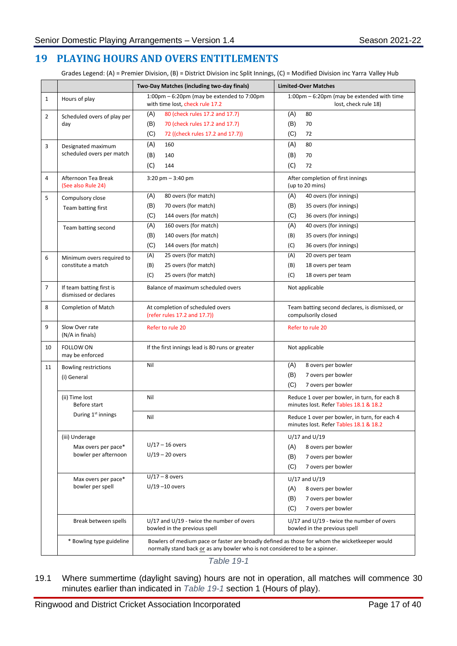## <span id="page-19-0"></span>**19 PLAYING HOURS AND OVERS ENTITLEMENTS**

Grades Legend: (A) = Premier Division, (B) = District Division inc Split Innings, (C) = Modified Division inc Yarra Valley Hub

|                |                                                               | Two-Day Matches (including two-day finals)                                                                                                                                   | <b>Limited-Over Matches</b>                                                                              |  |  |
|----------------|---------------------------------------------------------------|------------------------------------------------------------------------------------------------------------------------------------------------------------------------------|----------------------------------------------------------------------------------------------------------|--|--|
| 1              | Hours of play                                                 | 1:00pm - 6:20pm (may be extended to 7:00pm<br>with time lost, check rule 17.2                                                                                                | 1:00pm – 6:20pm (may be extended with time<br>lost, check rule 18)                                       |  |  |
| $\overline{2}$ | Scheduled overs of play per<br>day                            | (A)<br>80 (check rules 17.2 and 17.7)<br>(B)<br>70 (check rules 17.2 and 17.7)<br>(C)<br>72 ((check rules 17.2 and 17.7))                                                    | (A)<br>80<br>(B)<br>70<br>(C)<br>72                                                                      |  |  |
| 3              | Designated maximum<br>scheduled overs per match               | (A)<br>160<br>(B)<br>140<br>(C)<br>144                                                                                                                                       | (A)<br>80<br>(B)<br>70<br>(C)<br>72                                                                      |  |  |
| 4              | Afternoon Tea Break<br>(See also Rule 24)                     | $3:20$ pm $-3:40$ pm                                                                                                                                                         | After completion of first innings<br>(up to 20 mins)                                                     |  |  |
| 5              | Compulsory close<br>Team batting first                        | 80 overs (for match)<br>(A)<br>(B)<br>70 overs (for match)<br>(C)<br>144 overs (for match)                                                                                   | (A)<br>40 overs (for innings)<br>(B)<br>35 overs (for innings)<br>(C)<br>36 overs (for innings)          |  |  |
|                | Team batting second                                           | (A)<br>160 overs (for match)<br>(B)<br>140 overs (for match)<br>(C)<br>144 overs (for match)                                                                                 | (A)<br>40 overs (for innings)<br>(B)<br>35 overs (for innings)<br>(C)<br>36 overs (for innings)          |  |  |
| 6              | Minimum overs required to<br>constitute a match               | 25 overs (for match)<br>(A)<br>25 overs (for match)<br>(B)<br>(C)<br>25 overs (for match)                                                                                    | (A)<br>20 overs per team<br>(B)<br>18 overs per team<br>(C)<br>18 overs per team                         |  |  |
| 7              | If team batting first is<br>dismissed or declares             | Balance of maximum scheduled overs                                                                                                                                           | Not applicable                                                                                           |  |  |
| 8              | <b>Completion of Match</b>                                    | At completion of scheduled overs<br>(refer rules 17.2 and 17.7))                                                                                                             | Team batting second declares, is dismissed, or<br>compulsorily closed                                    |  |  |
| 9              | Slow Over rate<br>(N/A in finals)                             | Refer to rule 20                                                                                                                                                             | Refer to rule 20                                                                                         |  |  |
| 10             | <b>FOLLOW ON</b><br>may be enforced                           | If the first innings lead is 80 runs or greater                                                                                                                              | Not applicable                                                                                           |  |  |
| 11             | <b>Bowling restrictions</b><br>(i) General                    | Nil                                                                                                                                                                          | (A)<br>8 overs per bowler<br>(B)<br>7 overs per bowler<br>(C)<br>7 overs per bowler                      |  |  |
|                | (ii) Time lost<br>Before start                                | Nil                                                                                                                                                                          | Reduce 1 over per bowler, in turn, for each 8<br>minutes lost. Refer Tables 18.1 & 18.2                  |  |  |
|                | During 1 <sup>st</sup> innings                                | Nil                                                                                                                                                                          | Reduce 1 over per bowler, in turn, for each 4<br>minutes lost. Refer Tables 18.1 & 18.2                  |  |  |
|                | (iii) Underage<br>Max overs per pace*<br>bowler per afternoon | $U/17 - 16$ overs<br>$U/19 - 20$ overs                                                                                                                                       | $U/17$ and $U/19$<br>(A)<br>8 overs per bowler<br>(B)<br>7 overs per bowler<br>(C)<br>7 overs per bowler |  |  |
|                | Max overs per pace*<br>bowler per spell                       | $U/17 - 8$ overs<br>$U/19 - 10$ overs                                                                                                                                        | $U/17$ and $U/19$<br>(A)<br>8 overs per bowler<br>(B)<br>7 overs per bowler<br>(C)<br>7 overs per bowler |  |  |
|                | Break between spells                                          | $U/17$ and $U/19$ - twice the number of overs<br>bowled in the previous spell                                                                                                | $U/17$ and $U/19$ - twice the number of overs<br>bowled in the previous spell                            |  |  |
|                | * Bowling type guideline                                      | Bowlers of medium pace or faster are broadly defined as those for whom the wicketkeeper would<br>normally stand back or as any bowler who is not considered to be a spinner. |                                                                                                          |  |  |

*Table 19-1*

<span id="page-19-1"></span>19.1 Where summertime (daylight saving) hours are not in operation, all matches will commence 30 minutes earlier than indicated in *[Table 19-1](#page-19-1)* section 1 (Hours of play).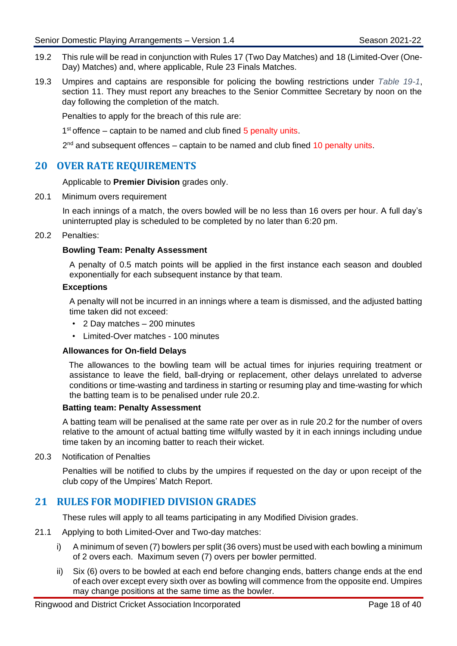- 19.2 This rule will be read in conjunction with Rules 17 (Two Day Matches) and [18](#page-13-1) (Limited-Over (One-Day) Matches) and, where applicable, Rule 23 Finals Matches.
- 19.3 Umpires and captains are responsible for policing the bowling restrictions under *[Table 19-1](#page-19-1)*, section 11. They must report any breaches to the Senior Committee Secretary by noon on the day following the completion of the match.

Penalties to apply for the breach of this rule are:

1<sup>st</sup> offence – captain to be named and club fined 5 penalty units.

 $2^{nd}$  and subsequent offences – captain to be named and club fined 10 penalty units.

## <span id="page-20-0"></span>**20 OVER RATE REQUIREMENTS**

Applicable to **Premier Division** grades only.

20.1 Minimum overs requirement

In each innings of a match, the overs bowled will be no less than 16 overs per hour. A full day's uninterrupted play is scheduled to be completed by no later than 6:20 pm.

#### <span id="page-20-2"></span>20.2 Penalties:

#### **Bowling Team: Penalty Assessment**

A penalty of 0.5 match points will be applied in the first instance each season and doubled exponentially for each subsequent instance by that team.

#### **Exceptions**

A penalty will not be incurred in an innings where a team is dismissed, and the adjusted batting time taken did not exceed:

- 2 Day matches 200 minutes
- Limited-Over matches 100 minutes

#### **Allowances for On-field Delays**

The allowances to the bowling team will be actual times for injuries requiring treatment or assistance to leave the field, ball-drying or replacement, other delays unrelated to adverse conditions or time-wasting and tardiness in starting or resuming play and time-wasting for which the batting team is to be penalised under rule [20.2.](#page-20-2)

#### **Batting team: Penalty Assessment**

A batting team will be penalised at the same rate per over as in rule [20.2](#page-20-2) for the number of overs relative to the amount of actual batting time wilfully wasted by it in each innings including undue time taken by an incoming batter to reach their wicket.

20.3 Notification of Penalties

Penalties will be notified to clubs by the umpires if requested on the day or upon receipt of the club copy of the Umpires' Match Report.

## <span id="page-20-1"></span>**21 RULES FOR MODIFIED DIVISION GRADES**

These rules will apply to all teams participating in any Modified Division grades.

- 21.1 Applying to both Limited-Over and Two-day matches:
	- i) A minimum of seven (7) bowlers per split (36 overs) must be used with each bowling a minimum of 2 overs each. Maximum seven (7) overs per bowler permitted.
	- ii) Six (6) overs to be bowled at each end before changing ends, batters change ends at the end of each over except every sixth over as bowling will commence from the opposite end. Umpires may change positions at the same time as the bowler.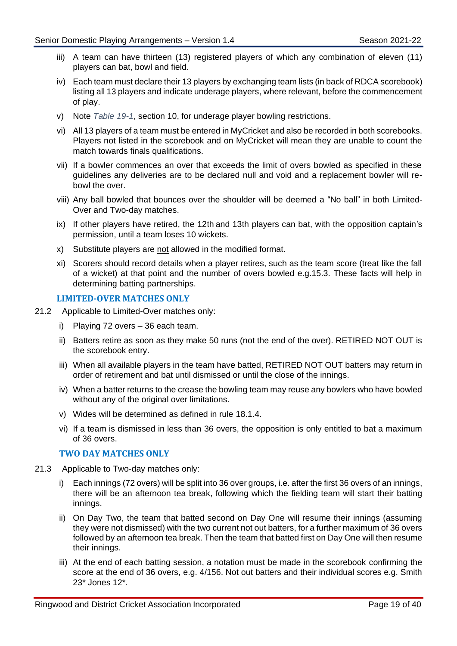- iii) A team can have thirteen (13) registered players of which any combination of eleven (11) players can bat, bowl and field.
- iv) Each team must declare their 13 players by exchanging team lists (in back of RDCA scorebook) listing all 13 players and indicate underage players, where relevant, before the commencement of play.
- v) Note *[Table 19-1](#page-19-1)*, section 10, for underage player bowling restrictions.
- vi) All 13 players of a team must be entered in MyCricket and also be recorded in both scorebooks. Players not listed in the scorebook and on MyCricket will mean they are unable to count the match towards finals qualifications.
- vii) If a bowler commences an over that exceeds the limit of overs bowled as specified in these guidelines any deliveries are to be declared null and void and a replacement bowler will rebowl the over.
- viii) Any ball bowled that bounces over the shoulder will be deemed a "No ball" in both Limited-Over and Two-day matches.
- ix) If other players have retired, the 12th and 13th players can bat, with the opposition captain's permission, until a team loses 10 wickets.
- x) Substitute players are not allowed in the modified format.
- xi) Scorers should record details when a player retires, such as the team score (treat like the fall of a wicket) at that point and the number of overs bowled e.g.15.3. These facts will help in determining batting partnerships.

#### **LIMITED-OVER MATCHES ONLY**

- 21.2 Applicable to Limited-Over matches only:
	- i) Playing 72 overs 36 each team.
	- ii) Batters retire as soon as they make 50 runs (not the end of the over). RETIRED NOT OUT is the scorebook entry.
	- iii) When all available players in the team have batted, RETIRED NOT OUT batters may return in order of retirement and bat until dismissed or until the close of the innings.
	- iv) When a batter returns to the crease the bowling team may reuse any bowlers who have bowled without any of the original over limitations.
	- v) Wides will be determined as defined in rule [18.1.4.](#page-14-0)
	- vi) If a team is dismissed in less than 36 overs, the opposition is only entitled to bat a maximum of 36 overs.

#### **TWO DAY MATCHES ONLY**

- 21.3 Applicable to Two-day matches only:
	- i) Each innings (72 overs) will be split into 36 over groups, i.e. after the first 36 overs of an innings, there will be an afternoon tea break, following which the fielding team will start their batting innings.
	- ii) On Day Two, the team that batted second on Day One will resume their innings (assuming they were not dismissed) with the two current not out batters, for a further maximum of 36 overs followed by an afternoon tea break. Then the team that batted first on Day One will then resume their innings.
	- iii) At the end of each batting session, a notation must be made in the scorebook confirming the score at the end of 36 overs, e.g. 4/156. Not out batters and their individual scores e.g. Smith 23\* Jones 12\*.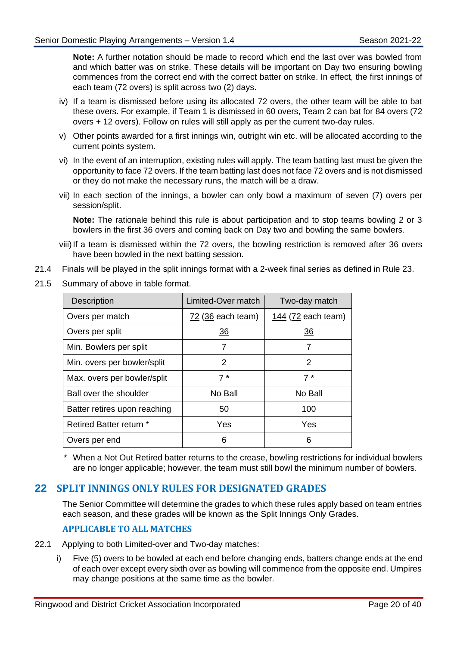**Note:** A further notation should be made to record which end the last over was bowled from and which batter was on strike. These details will be important on Day two ensuring bowling commences from the correct end with the correct batter on strike. In effect, the first innings of each team (72 overs) is split across two (2) days.

- iv) If a team is dismissed before using its allocated 72 overs, the other team will be able to bat these overs. For example, if Team 1 is dismissed in 60 overs, Team 2 can bat for 84 overs (72 overs + 12 overs). Follow on rules will still apply as per the current two-day rules.
- v) Other points awarded for a first innings win, outright win etc. will be allocated according to the current points system.
- vi) In the event of an interruption, existing rules will apply. The team batting last must be given the opportunity to face 72 overs. If the team batting last does not face 72 overs and is not dismissed or they do not make the necessary runs, the match will be a draw.
- vii) In each section of the innings, a bowler can only bowl a maximum of seven (7) overs per session/split.

**Note:** The rationale behind this rule is about participation and to stop teams bowling 2 or 3 bowlers in the first 36 overs and coming back on Day two and bowling the same bowlers.

- viii) If a team is dismissed within the 72 overs, the bowling restriction is removed after 36 overs have been bowled in the next batting session.
- 21.4 Finals will be played in the split innings format with a 2-week final series as defined in Rule [23.](#page-24-0)
- 21.5 Summary of above in table format.

| <b>Description</b>             | Limited-Over match | Two-day match      |
|--------------------------------|--------------------|--------------------|
| Overs per match                | 72 (36 each team)  | 144 (72 each team) |
| Overs per split                | 36                 | $\overline{36}$    |
| Min. Bowlers per split         | 7                  |                    |
| Min. overs per bowler/split    | 2                  | $\overline{2}$     |
| Max. overs per bowler/split    | $7*$               | $7*$               |
| Ball over the shoulder         | No Ball            | No Ball            |
| Batter retires upon reaching   | 50                 | 100                |
| <b>Retired Batter return *</b> | Yes                | Yes                |
| Overs per end                  | 6                  | 6                  |

When a Not Out Retired batter returns to the crease, bowling restrictions for individual bowlers are no longer applicable; however, the team must still bowl the minimum number of bowlers.

## <span id="page-22-0"></span>**22 SPLIT INNINGS ONLY RULES FOR DESIGNATED GRADES**

The Senior Committee will determine the grades to which these rules apply based on team entries each season, and these grades will be known as the Split Innings Only Grades.

## **APPLICABLE TO ALL MATCHES**

- 22.1 Applying to both Limited-over and Two-day matches:
	- i) Five (5) overs to be bowled at each end before changing ends, batters change ends at the end of each over except every sixth over as bowling will commence from the opposite end. Umpires may change positions at the same time as the bowler.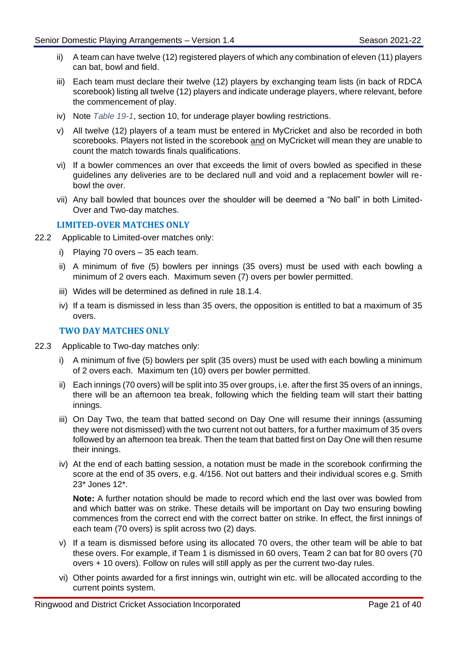- ii) A team can have twelve (12) registered players of which any combination of eleven (11) players can bat, bowl and field.
- iii) Each team must declare their twelve (12) players by exchanging team lists (in back of RDCA scorebook) listing all twelve (12) players and indicate underage players, where relevant, before the commencement of play.
- iv) Note *[Table 19-1](#page-19-1)*, section 10, for underage player bowling restrictions.
- v) All twelve (12) players of a team must be entered in MyCricket and also be recorded in both scorebooks. Players not listed in the scorebook and on MyCricket will mean they are unable to count the match towards finals qualifications.
- vi) If a bowler commences an over that exceeds the limit of overs bowled as specified in these guidelines any deliveries are to be declared null and void and a replacement bowler will rebowl the over.
- vii) Any ball bowled that bounces over the shoulder will be deemed a "No ball" in both Limited-Over and Two-day matches.

#### **LIMITED-OVER MATCHES ONLY**

- 22.2 Applicable to Limited-over matches only:
	- i) Playing 70 overs 35 each team.
	- ii) A minimum of five (5) bowlers per innings (35 overs) must be used with each bowling a minimum of 2 overs each. Maximum seven (7) overs per bowler permitted.
	- iii) Wides will be determined as defined in rule 18.1.4.
	- iv) If a team is dismissed in less than 35 overs, the opposition is entitled to bat a maximum of 35 overs.

#### **TWO DAY MATCHES ONLY**

- 22.3 Applicable to Two-day matches only:
	- i) A minimum of five (5) bowlers per split (35 overs) must be used with each bowling a minimum of 2 overs each. Maximum ten (10) overs per bowler permitted.
	- ii) Each innings (70 overs) will be split into 35 over groups, i.e. after the first 35 overs of an innings, there will be an afternoon tea break, following which the fielding team will start their batting innings.
	- iii) On Day Two, the team that batted second on Day One will resume their innings (assuming they were not dismissed) with the two current not out batters, for a further maximum of 35 overs followed by an afternoon tea break. Then the team that batted first on Day One will then resume their innings.
	- iv) At the end of each batting session, a notation must be made in the scorebook confirming the score at the end of 35 overs, e.g. 4/156. Not out batters and their individual scores e.g. Smith 23\* Jones 12\*.

**Note:** A further notation should be made to record which end the last over was bowled from and which batter was on strike. These details will be important on Day two ensuring bowling commences from the correct end with the correct batter on strike. In effect, the first innings of each team (70 overs) is split across two (2) days.

- v) If a team is dismissed before using its allocated 70 overs, the other team will be able to bat these overs. For example, if Team 1 is dismissed in 60 overs, Team 2 can bat for 80 overs (70 overs + 10 overs). Follow on rules will still apply as per the current two-day rules.
- vi) Other points awarded for a first innings win, outright win etc. will be allocated according to the current points system.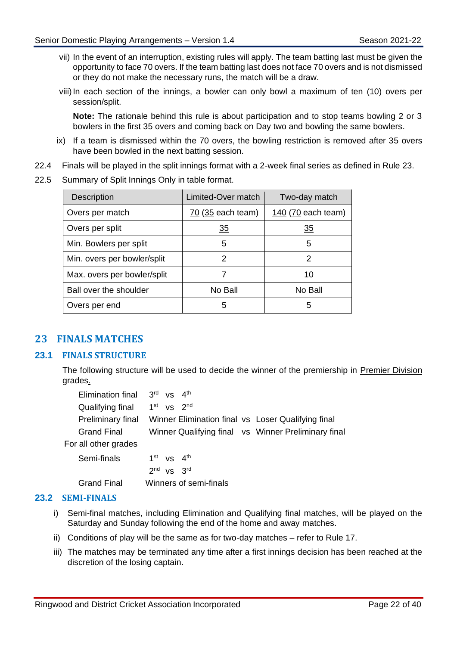- vii) In the event of an interruption, existing rules will apply. The team batting last must be given the opportunity to face 70 overs. If the team batting last does not face 70 overs and is not dismissed or they do not make the necessary runs, the match will be a draw.
- viii) In each section of the innings, a bowler can only bowl a maximum of ten (10) overs per session/split.

**Note:** The rationale behind this rule is about participation and to stop teams bowling 2 or 3 bowlers in the first 35 overs and coming back on Day two and bowling the same bowlers.

- ix) If a team is dismissed within the 70 overs, the bowling restriction is removed after 35 overs have been bowled in the next batting session.
- 22.4 Finals will be played in the split innings format with a 2-week final series as defined in Rule [23.](#page-24-0)
- 22.5 Summary of Split Innings Only in table format.

| <b>Description</b>          | Limited-Over match | Two-day match      |
|-----------------------------|--------------------|--------------------|
| Overs per match             | 70 (35 each team)  | 140 (70 each team) |
| Overs per split             | $\overline{35}$    | <u>35</u>          |
| Min. Bowlers per split      | 5                  | 5                  |
| Min. overs per bowler/split | 2                  | 2                  |
| Max. overs per bowler/split | 7                  | 10                 |
| Ball over the shoulder      | No Ball            | No Ball            |
| Overs per end               | 5                  | 5                  |

## <span id="page-24-0"></span>**23 FINALS MATCHES**

#### **23.1 FINALS STRUCTURE**

The following structure will be used to decide the winner of the premiership in **Premier Division** grades.

| Elimination final    | $3rd$ vs $4th$                                      |
|----------------------|-----------------------------------------------------|
| Qualifying final     | $1st$ vs $2nd$                                      |
| Preliminary final    | Winner Elimination final vs Loser Qualifying final  |
| <b>Grand Final</b>   | Winner Qualifying final vs Winner Preliminary final |
| For all other grades |                                                     |
| Semi-finals          | $1st$ vs $4th$                                      |
|                      | $2nd$ vs $3rd$                                      |
| Grand Final          | Winners of semi-finals                              |

#### **23.2 SEMI-FINALS**

- i) Semi-final matches, including Elimination and Qualifying final matches, will be played on the Saturday and Sunday following the end of the home and away matches.
- ii) Conditions of play will be the same as for two-day matches refer to Rule [17.](#page-13-0)
- iii) The matches may be terminated any time after a first innings decision has been reached at the discretion of the losing captain.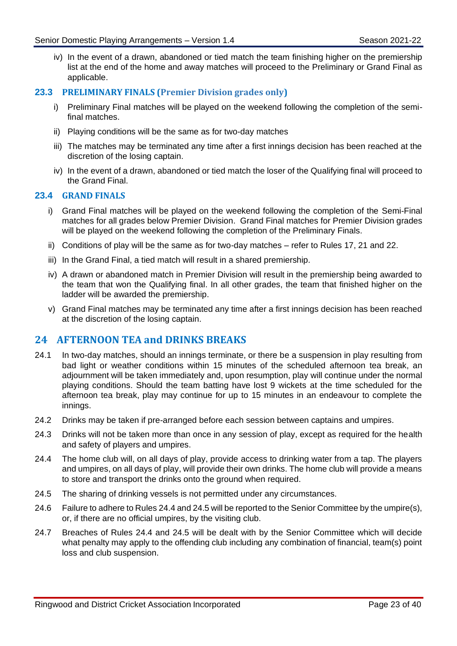iv) In the event of a drawn, abandoned or tied match the team finishing higher on the premiership list at the end of the home and away matches will proceed to the Preliminary or Grand Final as applicable.

#### **23.3 PRELIMINARY FINALS (Premier Division grades only)**

- i) Preliminary Final matches will be played on the weekend following the completion of the semifinal matches.
- ii) Playing conditions will be the same as for two-day matches
- iii) The matches may be terminated any time after a first innings decision has been reached at the discretion of the losing captain.
- iv) In the event of a drawn, abandoned or tied match the loser of the Qualifying final will proceed to the Grand Final.

#### **23.4 GRAND FINALS**

- i) Grand Final matches will be played on the weekend following the completion of the Semi-Final matches for all grades below Premier Division. Grand Final matches for Premier Division grades will be played on the weekend following the completion of the Preliminary Finals.
- ii) Conditions of play will be the same as for two-day matches refer to Rules [17,](#page-13-0) [21](#page-20-1) and [22.](#page-22-0)
- iii) In the Grand Final, a tied match will result in a shared premiership.
- iv) A drawn or abandoned match in Premier Division will result in the premiership being awarded to the team that won the Qualifying final. In all other grades, the team that finished higher on the ladder will be awarded the premiership.
- v) Grand Final matches may be terminated any time after a first innings decision has been reached at the discretion of the losing captain.

#### <span id="page-25-0"></span>**24 AFTERNOON TEA and DRINKS BREAKS**

- 24.1 In two-day matches, should an innings terminate, or there be a suspension in play resulting from bad light or weather conditions within 15 minutes of the scheduled afternoon tea break, an adjournment will be taken immediately and, upon resumption, play will continue under the normal playing conditions. Should the team batting have lost 9 wickets at the time scheduled for the afternoon tea break, play may continue for up to 15 minutes in an endeavour to complete the innings.
- 24.2 Drinks may be taken if pre-arranged before each session between captains and umpires.
- 24.3 Drinks will not be taken more than once in any session of play, except as required for the health and safety of players and umpires.
- <span id="page-25-1"></span>24.4 The home club will, on all days of play, provide access to drinking water from a tap. The players and umpires, on all days of play, will provide their own drinks. The home club will provide a means to store and transport the drinks onto the ground when required.
- <span id="page-25-2"></span>24.5 The sharing of drinking vessels is not permitted under any circumstances.
- 24.6 Failure to adhere to Rule[s 24.4](#page-25-1) and [24.5](#page-25-2) will be reported to the Senior Committee by the umpire(s), or, if there are no official umpires, by the visiting club.
- 24.7 Breaches of Rules [24.4](#page-25-1) and [24.5](#page-25-2) will be dealt with by the Senior Committee which will decide what penalty may apply to the offending club including any combination of financial, team(s) point loss and club suspension.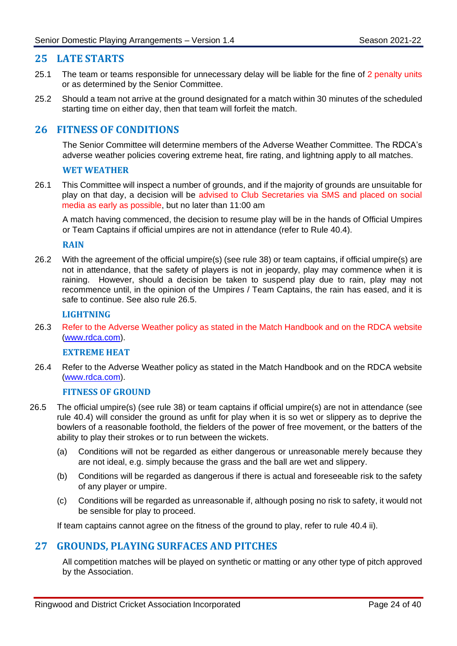## <span id="page-26-0"></span>**25 LATE STARTS**

- 25.1 The team or teams responsible for unnecessary delay will be liable for the fine of 2 penalty units or as determined by the Senior Committee.
- 25.2 Should a team not arrive at the ground designated for a match within 30 minutes of the scheduled starting time on either day, then that team will forfeit the match.

## <span id="page-26-1"></span>**26 FITNESS OF CONDITIONS**

The Senior Committee will determine members of the Adverse Weather Committee. The RDCA's adverse weather policies covering extreme heat, fire rating, and lightning apply to all matches.

#### **WET WEATHER**

26.1 This Committee will inspect a number of grounds, and if the majority of grounds are unsuitable for play on that day, a decision will be advised to Club Secretaries via SMS and placed on social media as early as possible, but no later than 11:00 am

A match having commenced, the decision to resume play will be in the hands of Official Umpires or Team Captains if official umpires are not in attendance (refer to Rule [40.4\)](#page-35-4).

#### **RAIN**

26.2 With the agreement of the official umpire(s) (see rule [38\)](#page-35-0) or team captains, if official umpire(s) are not in attendance, that the safety of players is not in jeopardy, play may commence when it is raining. However, should a decision be taken to suspend play due to rain, play may not recommence until, in the opinion of the Umpires / Team Captains, the rain has eased, and it is safe to continue. See also rule [26.5.](#page-26-3)

#### **LIGHTNING**

26.3 Refer to the Adverse Weather policy as stated in the Match Handbook and on the RDCA website [\(www.rdca.com\).](http://www.rdca.com/)

#### **EXTREME HEAT**

26.4 Refer to the Adverse Weather policy as stated in the Match Handbook and on the RDCA website [\(www.rdca.com\).](http://www.rdca.com/)

#### **FITNESS OF GROUND**

- <span id="page-26-3"></span>26.5 The official umpire(s) (see rule [38\)](#page-35-0) or team captains if official umpire(s) are not in attendance (see rule [40.4\)](#page-35-4) will consider the ground as unfit for play when it is so wet or slippery as to deprive the bowlers of a reasonable foothold, the fielders of the power of free movement, or the batters of the ability to play their strokes or to run between the wickets.
	- (a) Conditions will not be regarded as either dangerous or unreasonable merely because they are not ideal, e.g. simply because the grass and the ball are wet and slippery.
	- (b) Conditions will be regarded as dangerous if there is actual and foreseeable risk to the safety of any player or umpire.
	- (c) Conditions will be regarded as unreasonable if, although posing no risk to safety, it would not be sensible for play to proceed.

If team captains cannot agree on the fitness of the ground to play, refer to rule [40.4](#page-35-4) ii).

## <span id="page-26-2"></span>**27 GROUNDS, PLAYING SURFACES AND PITCHES**

All competition matches will be played on synthetic or matting or any other type of pitch approved by the Association.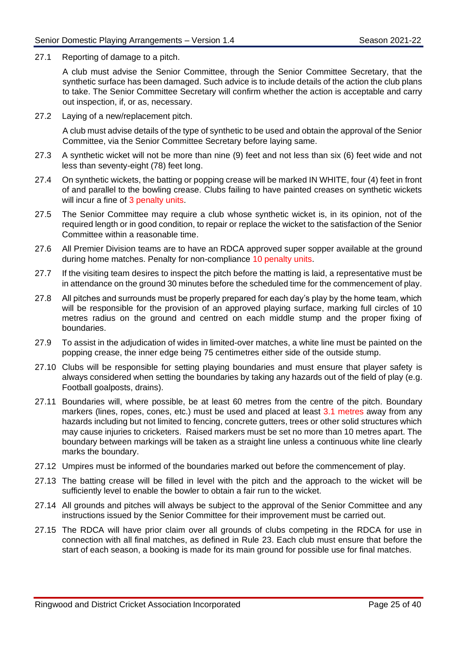27.1 Reporting of damage to a pitch.

A club must advise the Senior Committee, through the Senior Committee Secretary, that the synthetic surface has been damaged. Such advice is to include details of the action the club plans to take. The Senior Committee Secretary will confirm whether the action is acceptable and carry out inspection, if, or as, necessary.

27.2 Laying of a new/replacement pitch.

A club must advise details of the type of synthetic to be used and obtain the approval of the Senior Committee, via the Senior Committee Secretary before laying same.

- <span id="page-27-2"></span>27.3 A synthetic wicket will not be more than nine (9) feet and not less than six (6) feet wide and not less than seventy-eight (78) feet long.
- 27.4 On synthetic wickets, the batting or popping crease will be marked IN WHITE, four (4) feet in front of and parallel to the bowling crease. Clubs failing to have painted creases on synthetic wickets will incur a fine of 3 penalty units.
- 27.5 The Senior Committee may require a club whose synthetic wicket is, in its opinion, not of the required length or in good condition, to repair or replace the wicket to the satisfaction of the Senior Committee within a reasonable time.
- 27.6 All Premier Division teams are to have an RDCA approved super sopper available at the ground during home matches. Penalty for non-compliance 10 penalty units.
- 27.7 If the visiting team desires to inspect the pitch before the matting is laid, a representative must be in attendance on the ground 30 minutes before the scheduled time for the commencement of play.
- <span id="page-27-1"></span>27.8 All pitches and surrounds must be properly prepared for each day's play by the home team, which will be responsible for the provision of an approved playing surface, marking full circles of 10 metres radius on the ground and centred on each middle stump and the proper fixing of boundaries.
- 27.9 To assist in the adjudication of wides in limited-over matches, a white line must be painted on the popping crease, the inner edge being 75 centimetres either side of the outside stump.
- 27.10 Clubs will be responsible for setting playing boundaries and must ensure that player safety is always considered when setting the boundaries by taking any hazards out of the field of play (e.g. Football goalposts, drains).
- <span id="page-27-0"></span>27.11 Boundaries will, where possible, be at least 60 metres from the centre of the pitch. Boundary markers (lines, ropes, cones, etc.) must be used and placed at least 3.1 metres away from any hazards including but not limited to fencing, concrete gutters, trees or other solid structures which may cause injuries to cricketers. Raised markers must be set no more than 10 metres apart. The boundary between markings will be taken as a straight line unless a continuous white line clearly marks the boundary.
- 27.12 Umpires must be informed of the boundaries marked out before the commencement of play.
- 27.13 The batting crease will be filled in level with the pitch and the approach to the wicket will be sufficiently level to enable the bowler to obtain a fair run to the wicket.
- 27.14 All grounds and pitches will always be subject to the approval of the Senior Committee and any instructions issued by the Senior Committee for their improvement must be carried out.
- 27.15 The RDCA will have prior claim over all grounds of clubs competing in the RDCA for use in connection with all final matches, as defined in Rule [23.](#page-24-0) Each club must ensure that before the start of each season, a booking is made for its main ground for possible use for final matches.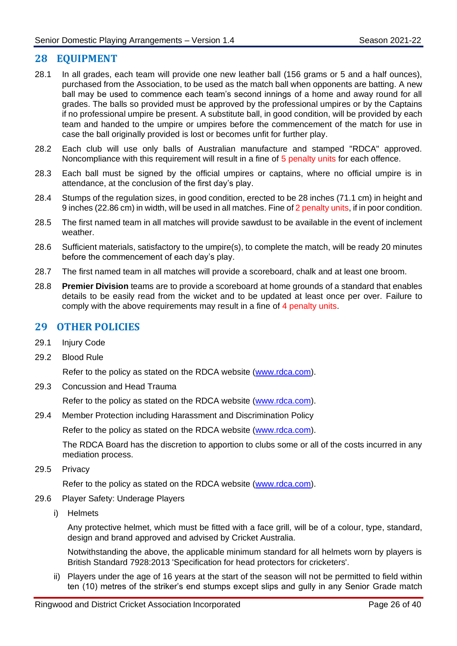## <span id="page-28-0"></span>**28 EQUIPMENT**

- 28.1 In all grades, each team will provide one new leather ball (156 grams or 5 and a half ounces), purchased from the Association, to be used as the match ball when opponents are batting. A new ball may be used to commence each team's second innings of a home and away round for all grades. The balls so provided must be approved by the professional umpires or by the Captains if no professional umpire be present. A substitute ball, in good condition, will be provided by each team and handed to the umpire or umpires before the commencement of the match for use in case the ball originally provided is lost or becomes unfit for further play.
- 28.2 Each club will use only balls of Australian manufacture and stamped "RDCA" approved. Noncompliance with this requirement will result in a fine of 5 penalty units for each offence.
- 28.3 Each ball must be signed by the official umpires or captains, where no official umpire is in attendance, at the conclusion of the first day's play.
- 28.4 Stumps of the regulation sizes, in good condition, erected to be 28 inches (71.1 cm) in height and 9 inches (22.86 cm) in width, will be used in all matches. Fine of 2 penalty units, if in poor condition.
- 28.5 The first named team in all matches will provide sawdust to be available in the event of inclement weather.
- 28.6 Sufficient materials, satisfactory to the umpire(s), to complete the match, will be ready 20 minutes before the commencement of each day's play.
- 28.7 The first named team in all matches will provide a scoreboard, chalk and at least one broom.
- 28.8 **Premier Division** teams are to provide a scoreboard at home grounds of a standard that enables details to be easily read from the wicket and to be updated at least once per over. Failure to comply with the above requirements may result in a fine of 4 penalty units.

## <span id="page-28-1"></span>**29 OTHER POLICIES**

- 29.1 Injury Code
- 29.2 Blood Rule

Refer to the policy as stated on the RDCA website [\(www.rdca.com\).](http://www.rdca.com/)

29.3 Concussion and Head Trauma

Refer to the policy as stated on the RDCA website [\(www.rdca.com\).](http://www.rdca.com/)

29.4 Member Protection including Harassment and Discrimination Policy

Refer to the policy as stated on the RDCA website [\(www.rdca.com\).](http://www.rdca.com/)

The RDCA Board has the discretion to apportion to clubs some or all of the costs incurred in any mediation process.

29.5 Privacy

Refer to the policy as stated on the RDCA website [\(www.rdca.com\).](http://www.rdca.com/)

- <span id="page-28-2"></span>29.6 Player Safety: Underage Players
	- i) Helmets

Any protective helmet, which must be fitted with a face grill, will be of a colour, type, standard, design and brand approved and advised by Cricket Australia.

Notwithstanding the above, the applicable minimum standard for all helmets worn by players is British Standard 7928:2013 'Specification for head protectors for cricketers'.

ii) Players under the age of 16 years at the start of the season will not be permitted to field within ten (10) metres of the striker's end stumps except slips and gully in any Senior Grade match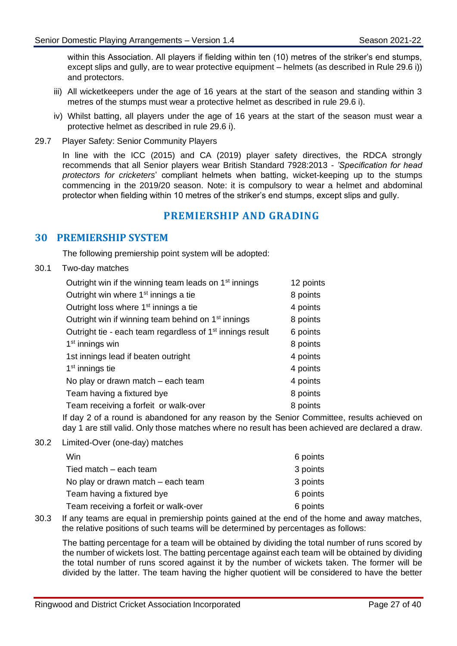within this Association. All players if fielding within ten (10) metres of the striker's end stumps, except slips and gully, are to wear protective equipment – helmets (as described in Rule [29.6](#page-28-2) i)) and protectors.

- iii) All wicketkeepers under the age of 16 years at the start of the season and standing within 3 metres of the stumps must wear a protective helmet as described in rule [29.6](#page-28-2) i).
- iv) Whilst batting, all players under the age of 16 years at the start of the season must wear a protective helmet as described in rule [29.6](#page-28-2) i).
- 29.7 Player Safety: Senior Community Players

In line with the ICC (2015) and CA (2019) player safety directives, the RDCA strongly recommends that all Senior players wear British Standard 7928:2013 - *'Specification for head protectors for cricketers*' compliant helmets when batting, wicket-keeping up to the stumps commencing in the 2019/20 season. Note: it is compulsory to wear a helmet and abdominal protector when fielding within 10 metres of the striker's end stumps, except slips and gully.

## **PREMIERSHIP AND GRADING**

#### <span id="page-29-1"></span><span id="page-29-0"></span>**30 PREMIERSHIP SYSTEM**

The following premiership point system will be adopted:

30.1 Two-day matches

| Outright win if the winning team leads on 1 <sup>st</sup> innings     | 12 points |
|-----------------------------------------------------------------------|-----------|
| Outright win where 1 <sup>st</sup> innings a tie                      | 8 points  |
| Outright loss where 1 <sup>st</sup> innings a tie                     | 4 points  |
| Outright win if winning team behind on 1 <sup>st</sup> innings        | 8 points  |
| Outright tie - each team regardless of 1 <sup>st</sup> innings result | 6 points  |
| $1st$ innings win                                                     | 8 points  |
| 1st innings lead if beaten outright                                   | 4 points  |
| 1 <sup>st</sup> innings tie                                           | 4 points  |
| No play or drawn match – each team                                    | 4 points  |
| Team having a fixtured bye                                            | 8 points  |
| Team receiving a forfeit or walk-over                                 | 8 points  |
|                                                                       |           |

If day 2 of a round is abandoned for any reason by the Senior Committee, results achieved on day 1 are still valid. Only those matches where no result has been achieved are declared a draw.

30.2 Limited-Over (one-day) matches

| Win                                   | 6 points |
|---------------------------------------|----------|
| Tied match – each team                | 3 points |
| No play or drawn match – each team    | 3 points |
| Team having a fixtured bye            | 6 points |
| Team receiving a forfeit or walk-over | 6 points |

30.3 If any teams are equal in premiership points gained at the end of the home and away matches, the relative positions of such teams will be determined by percentages as follows:

The batting percentage for a team will be obtained by dividing the total number of runs scored by the number of wickets lost. The batting percentage against each team will be obtained by dividing the total number of runs scored against it by the number of wickets taken. The former will be divided by the latter. The team having the higher quotient will be considered to have the better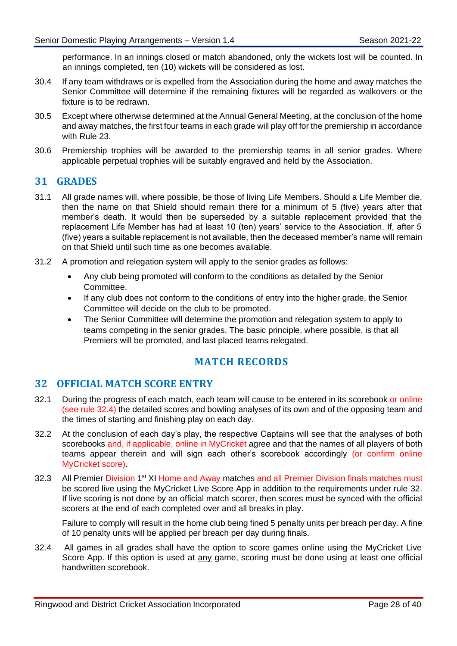performance. In an innings closed or match abandoned, only the wickets lost will be counted. In an innings completed, ten (10) wickets will be considered as lost.

- 30.4 If any team withdraws or is expelled from the Association during the home and away matches the Senior Committee will determine if the remaining fixtures will be regarded as walkovers or the fixture is to be redrawn.
- 30.5 Except where otherwise determined at the Annual General Meeting, at the conclusion of the home and away matches, the first four teams in each grade will play off for the premiership in accordance with Rule [23.](#page-24-0)
- 30.6 Premiership trophies will be awarded to the premiership teams in all senior grades. Where applicable perpetual trophies will be suitably engraved and held by the Association.

## <span id="page-30-0"></span>**31 GRADES**

- 31.1 All grade names will, where possible, be those of living Life Members. Should a Life Member die, then the name on that Shield should remain there for a minimum of 5 (five) years after that member's death. It would then be superseded by a suitable replacement provided that the replacement Life Member has had at least 10 (ten) years' service to the Association. If, after 5 (five) years a suitable replacement is not available, then the deceased member's name will remain on that Shield until such time as one becomes available.
- 31.2 A promotion and relegation system will apply to the senior grades as follows:
	- Any club being promoted will conform to the conditions as detailed by the Senior Committee.
	- If any club does not conform to the conditions of entry into the higher grade, the Senior Committee will decide on the club to be promoted.
	- The Senior Committee will determine the promotion and relegation system to apply to teams competing in the senior grades. The basic principle, where possible, is that all Premiers will be promoted, and last placed teams relegated.

## **MATCH RECORDS**

## <span id="page-30-2"></span><span id="page-30-1"></span>**32 OFFICIAL MATCH SCORE ENTRY**

- 32.1 During the progress of each match, each team will cause to be entered in its scorebook or online (see rule [32.4\)](#page-30-3) the detailed scores and bowling analyses of its own and of the opposing team and the times of starting and finishing play on each day.
- 32.2 At the conclusion of each day's play, the respective Captains will see that the analyses of both scorebooks and, if applicable, online in MyCricket agree and that the names of all players of both teams appear therein and will sign each other's scorebook accordingly (or confirm online MyCricket score).
- 32.3 All Premier Division 1<sup>st</sup> XI Home and Away matches and all Premier Division finals matches must be scored live using the MyCricket Live Score App in addition to the requirements under rule [32.](#page-30-2) If live scoring is not done by an official match scorer, then scores must be synced with the official scorers at the end of each completed over and all breaks in play.

<span id="page-30-3"></span>Failure to comply will result in the home club being fined 5 penalty units per breach per day. A fine of 10 penalty units will be applied per breach per day during finals.

32.4 All games in all grades shall have the option to score games online using the MyCricket Live Score App. If this option is used at any game, scoring must be done using at least one official handwritten scorebook.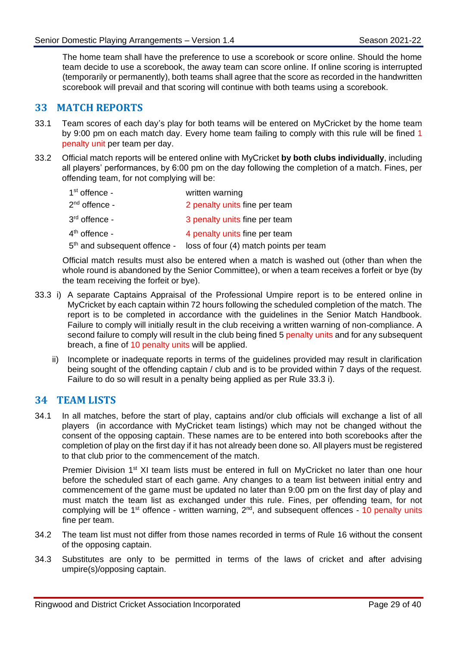The home team shall have the preference to use a scorebook or score online. Should the home team decide to use a scorebook, the away team can score online. If online scoring is interrupted (temporarily or permanently), both teams shall agree that the score as recorded in the handwritten scorebook will prevail and that scoring will continue with both teams using a scorebook.

## <span id="page-31-0"></span>**33 MATCH REPORTS**

- 33.1 Team scores of each day's play for both teams will be entered on MyCricket by the home team by 9:00 pm on each match day. Every home team failing to comply with this rule will be fined 1 penalty unit per team per day.
- 33.2 Official match reports will be entered online with MyCricket **by both clubs individually**, including all players' performances, by 6:00 pm on the day following the completion of a match. Fines, per offending team, for not complying will be:

| $1st$ offence - | written warning                                                                 |
|-----------------|---------------------------------------------------------------------------------|
| $2nd$ offence - | 2 penalty units fine per team                                                   |
| $3rd$ offence - | 3 penalty units fine per team                                                   |
| $4th$ offence - | 4 penalty units fine per team                                                   |
|                 | 5 <sup>th</sup> and subsequent offence - loss of four (4) match points per team |

Official match results must also be entered when a match is washed out (other than when the whole round is abandoned by the Senior Committee), or when a team receives a forfeit or bye (by the team receiving the forfeit or bye).

- <span id="page-31-2"></span>33.3 i) A separate Captains Appraisal of the Professional Umpire report is to be entered online in MyCricket by each captain within 72 hours following the scheduled completion of the match. The report is to be completed in accordance with the guidelines in the Senior Match Handbook. Failure to comply will initially result in the club receiving a written warning of non-compliance. A second failure to comply will result in the club being fined 5 penalty units and for any subsequent breach, a fine of 10 penalty units will be applied.
	- ii) Incomplete or inadequate reports in terms of the guidelines provided may result in clarification being sought of the offending captain / club and is to be provided within 7 days of the request. Failure to do so will result in a penalty being applied as per Rule [33.3](#page-31-2) i).

## <span id="page-31-1"></span>**34 TEAM LISTS**

34.1 In all matches, before the start of play, captains and/or club officials will exchange a list of all players (in accordance with MyCricket team listings) which may not be changed without the consent of the opposing captain. These names are to be entered into both scorebooks after the completion of play on the first day if it has not already been done so. All players must be registered to that club prior to the commencement of the match.

Premier Division 1<sup>st</sup> XI team lists must be entered in full on MyCricket no later than one hour before the scheduled start of each game. Any changes to a team list between initial entry and commencement of the game must be updated no later than 9:00 pm on the first day of play and must match the team list as exchanged under this rule. Fines, per offending team, for not complying will be 1<sup>st</sup> offence - written warning, 2<sup>nd</sup>, and subsequent offences - 10 penalty units fine per team.

- 34.2 The team list must not differ from those names recorded in terms of Rule [16](#page-12-0) without the consent of the opposing captain.
- 34.3 Substitutes are only to be permitted in terms of the laws of cricket and after advising umpire(s)/opposing captain.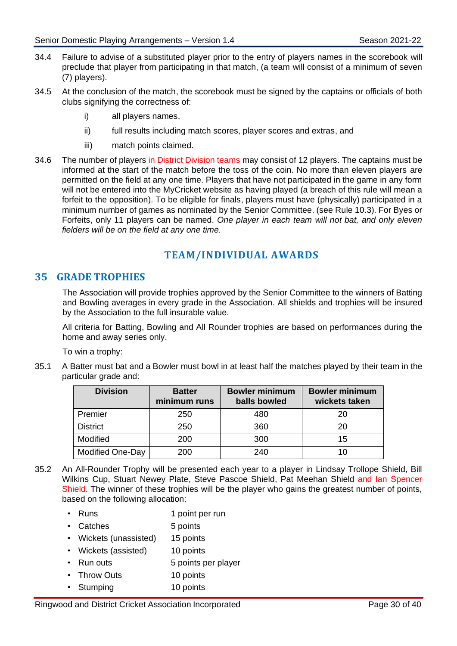- 34.4 Failure to advise of a substituted player prior to the entry of players names in the scorebook will preclude that player from participating in that match, (a team will consist of a minimum of seven (7) players).
- 34.5 At the conclusion of the match, the scorebook must be signed by the captains or officials of both clubs signifying the correctness of:
	- i) all players names,
	- ii) full results including match scores, player scores and extras, and
	- iii) match points claimed.
- 34.6 The number of players in District Division teams may consist of 12 players. The captains must be informed at the start of the match before the toss of the coin. No more than eleven players are permitted on the field at any one time. Players that have not participated in the game in any form will not be entered into the MyCricket website as having played (a breach of this rule will mean a forfeit to the opposition). To be eligible for finals, players must have (physically) participated in a minimum number of games as nominated by the Senior Committee. (see Rule [10.3\)](#page-6-4). For Byes or Forfeits, only 11 players can be named. *One player in each team will not bat, and only eleven fielders will be on the field at any one time.*

## **TEAM/INDIVIDUAL AWARDS**

## <span id="page-32-1"></span><span id="page-32-0"></span>**35 GRADE TROPHIES**

The Association will provide trophies approved by the Senior Committee to the winners of Batting and Bowling averages in every grade in the Association. All shields and trophies will be insured by the Association to the full insurable value.

All criteria for Batting, Bowling and All Rounder trophies are based on performances during the home and away series only.

To win a trophy:

<span id="page-32-2"></span>35.1 A Batter must bat and a Bowler must bowl in at least half the matches played by their team in the particular grade and:

| <b>Division</b>         | <b>Batter</b><br>minimum runs | <b>Bowler minimum</b><br>balls bowled | <b>Bowler minimum</b><br>wickets taken |
|-------------------------|-------------------------------|---------------------------------------|----------------------------------------|
| Premier                 | 250                           | 480                                   | 20                                     |
| <b>District</b>         | 250                           | 360                                   | 20                                     |
| Modified                | 200                           | 300                                   | 15                                     |
| <b>Modified One-Day</b> | 200                           | 240                                   | 10                                     |

- 35.2 An All-Rounder Trophy will be presented each year to a player in Lindsay Trollope Shield, Bill Wilkins Cup, Stuart Newey Plate, Steve Pascoe Shield, Pat Meehan Shield and Ian Spencer Shield. The winner of these trophies will be the player who gains the greatest number of points, based on the following allocation:
	- Runs 1 point per run
	- Catches 5 points
	- Wickets (unassisted) 15 points
	- Wickets (assisted) 10 points
	- Run outs 5 points per player
	- Throw Outs 10 points
	- Stumping 10 points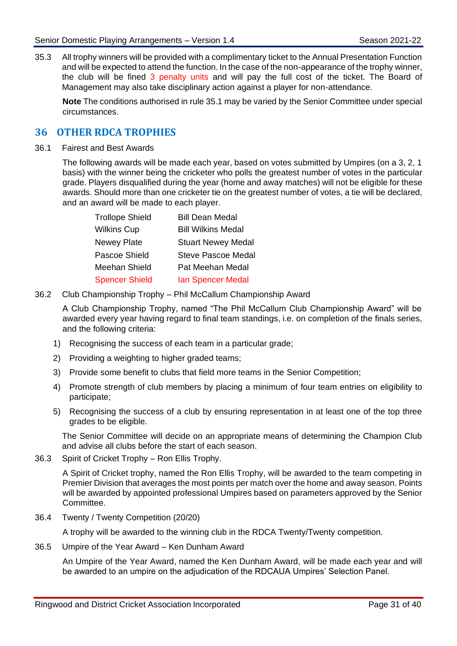35.3 All trophy winners will be provided with a complimentary ticket to the Annual Presentation Function and will be expected to attend the function. In the case of the non-appearance of the trophy winner, the club will be fined 3 penalty units and will pay the full cost of the ticket. The Board of Management may also take disciplinary action against a player for non-attendance.

**Note** The conditions authorised in rule [35.1](#page-32-2) may be varied by the Senior Committee under special circumstances.

## <span id="page-33-0"></span>**36 OTHER RDCA TROPHIES**

36.1 Fairest and Best Awards

The following awards will be made each year, based on votes submitted by Umpires (on a 3, 2, 1 basis) with the winner being the cricketer who polls the greatest number of votes in the particular grade. Players disqualified during the year (home and away matches) will not be eligible for these awards. Should more than one cricketer tie on the greatest number of votes, a tie will be declared, and an award will be made to each player.

| <b>Trollope Shield</b> | <b>Bill Dean Medal</b>    |
|------------------------|---------------------------|
| <b>Wilkins Cup</b>     | <b>Bill Wilkins Medal</b> |
| <b>Newey Plate</b>     | <b>Stuart Newey Medal</b> |
| Pascoe Shield          | <b>Steve Pascoe Medal</b> |
| Meehan Shield          | Pat Meehan Medal          |
| <b>Spencer Shield</b>  | <b>Ian Spencer Medal</b>  |

36.2 Club Championship Trophy – Phil McCallum Championship Award

A Club Championship Trophy, named "The Phil McCallum Club Championship Award" will be awarded every year having regard to final team standings, i.e. on completion of the finals series, and the following criteria:

- 1) Recognising the success of each team in a particular grade;
- 2) Providing a weighting to higher graded teams;
- 3) Provide some benefit to clubs that field more teams in the Senior Competition;
- 4) Promote strength of club members by placing a minimum of four team entries on eligibility to participate;
- 5) Recognising the success of a club by ensuring representation in at least one of the top three grades to be eligible.

The Senior Committee will decide on an appropriate means of determining the Champion Club and advise all clubs before the start of each season.

36.3 Spirit of Cricket Trophy – Ron Ellis Trophy.

A Spirit of Cricket trophy, named the Ron Ellis Trophy, will be awarded to the team competing in Premier Division that averages the most points per match over the home and away season. Points will be awarded by appointed professional Umpires based on parameters approved by the Senior Committee.

36.4 Twenty / Twenty Competition (20/20)

A trophy will be awarded to the winning club in the RDCA Twenty/Twenty competition.

36.5 Umpire of the Year Award – Ken Dunham Award

An Umpire of the Year Award, named the Ken Dunham Award, will be made each year and will be awarded to an umpire on the adjudication of the RDCAUA Umpires' Selection Panel.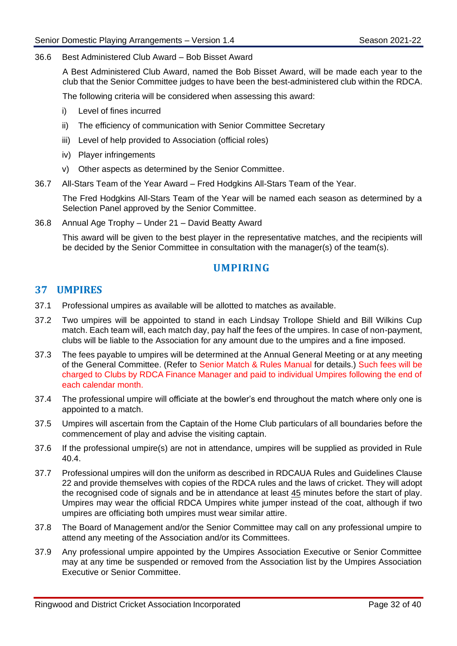#### 36.6 Best Administered Club Award – Bob Bisset Award

A Best Administered Club Award, named the Bob Bisset Award, will be made each year to the club that the Senior Committee judges to have been the best-administered club within the RDCA.

The following criteria will be considered when assessing this award:

- i) Level of fines incurred
- ii) The efficiency of communication with Senior Committee Secretary
- iii) Level of help provided to Association (official roles)
- iv) Player infringements
- v) Other aspects as determined by the Senior Committee.
- 36.7 All-Stars Team of the Year Award Fred Hodgkins All-Stars Team of the Year.

The Fred Hodgkins All-Stars Team of the Year will be named each season as determined by a Selection Panel approved by the Senior Committee.

36.8 Annual Age Trophy – Under 21 – David Beatty Award

This award will be given to the best player in the representative matches, and the recipients will be decided by the Senior Committee in consultation with the manager(s) of the team(s).

## **UMPIRING**

#### <span id="page-34-1"></span><span id="page-34-0"></span>**37 UMPIRES**

- 37.1 Professional umpires as available will be allotted to matches as available.
- 37.2 Two umpires will be appointed to stand in each Lindsay Trollope Shield and Bill Wilkins Cup match. Each team will, each match day, pay half the fees of the umpires. In case of non-payment, clubs will be liable to the Association for any amount due to the umpires and a fine imposed.
- 37.3 The fees payable to umpires will be determined at the Annual General Meeting or at any meeting of the General Committee. (Refer to Senior Match & Rules Manual for details.) Such fees will be charged to Clubs by RDCA Finance Manager and paid to individual Umpires following the end of each calendar month.
- 37.4 The professional umpire will officiate at the bowler's end throughout the match where only one is appointed to a match.
- 37.5 Umpires will ascertain from the Captain of the Home Club particulars of all boundaries before the commencement of play and advise the visiting captain.
- 37.6 If the professional umpire(s) are not in attendance, umpires will be supplied as provided in Rule [40.4.](#page-35-4)
- 37.7 Professional umpires will don the uniform as described in RDCAUA Rules and Guidelines Clause 22 and provide themselves with copies of the RDCA rules and the laws of cricket. They will adopt the recognised code of signals and be in attendance at least 45 minutes before the start of play. Umpires may wear the official RDCA Umpires white jumper instead of the coat, although if two umpires are officiating both umpires must wear similar attire.
- 37.8 The Board of Management and/or the Senior Committee may call on any professional umpire to attend any meeting of the Association and/or its Committees.
- 37.9 Any professional umpire appointed by the Umpires Association Executive or Senior Committee may at any time be suspended or removed from the Association list by the Umpires Association Executive or Senior Committee.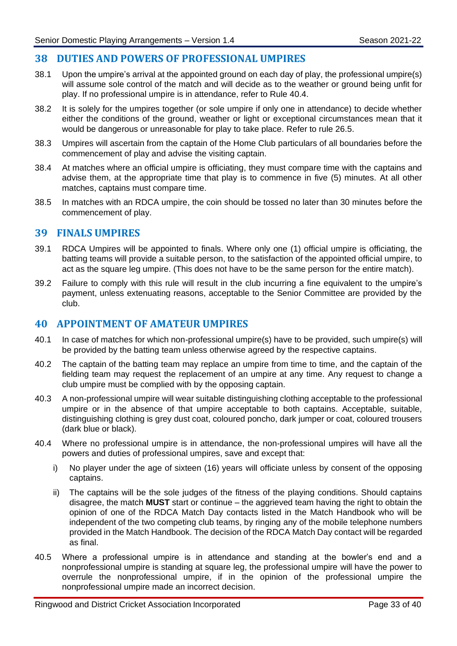## <span id="page-35-0"></span>**38 DUTIES AND POWERS OF PROFESSIONAL UMPIRES**

- 38.1 Upon the umpire's arrival at the appointed ground on each day of play, the professional umpire(s) will assume sole control of the match and will decide as to the weather or ground being unfit for play. If no professional umpire is in attendance, refer to Rule [40.4.](#page-35-4)
- 38.2 It is solely for the umpires together (or sole umpire if only one in attendance) to decide whether either the conditions of the ground, weather or light or exceptional circumstances mean that it would be dangerous or unreasonable for play to take place. Refer to rule [26.5.](#page-26-3)
- 38.3 Umpires will ascertain from the captain of the Home Club particulars of all boundaries before the commencement of play and advise the visiting captain.
- 38.4 At matches where an official umpire is officiating, they must compare time with the captains and advise them, at the appropriate time that play is to commence in five (5) minutes. At all other matches, captains must compare time.
- 38.5 In matches with an RDCA umpire, the coin should be tossed no later than 30 minutes before the commencement of play.

#### <span id="page-35-1"></span>**39 FINALS UMPIRES**

- 39.1 RDCA Umpires will be appointed to finals. Where only one (1) official umpire is officiating, the batting teams will provide a suitable person, to the satisfaction of the appointed official umpire, to act as the square leg umpire. (This does not have to be the same person for the entire match).
- 39.2 Failure to comply with this rule will result in the club incurring a fine equivalent to the umpire's payment, unless extenuating reasons, acceptable to the Senior Committee are provided by the club.

## <span id="page-35-2"></span>**40 APPOINTMENT OF AMATEUR UMPIRES**

- 40.1 In case of matches for which non-professional umpire(s) have to be provided, such umpire(s) will be provided by the batting team unless otherwise agreed by the respective captains.
- 40.2 The captain of the batting team may replace an umpire from time to time, and the captain of the fielding team may request the replacement of an umpire at any time. Any request to change a club umpire must be complied with by the opposing captain.
- <span id="page-35-3"></span>40.3 A non-professional umpire will wear suitable distinguishing clothing acceptable to the professional umpire or in the absence of that umpire acceptable to both captains. Acceptable, suitable, distinguishing clothing is grey dust coat, coloured poncho, dark jumper or coat, coloured trousers (dark blue or black).
- <span id="page-35-4"></span>40.4 Where no professional umpire is in attendance, the non-professional umpires will have all the powers and duties of professional umpires, save and except that:
	- i) No player under the age of sixteen (16) years will officiate unless by consent of the opposing captains.
	- ii) The captains will be the sole judges of the fitness of the playing conditions. Should captains disagree, the match **MUST** start or continue – the aggrieved team having the right to obtain the opinion of one of the RDCA Match Day contacts listed in the Match Handbook who will be independent of the two competing club teams, by ringing any of the mobile telephone numbers provided in the Match Handbook. The decision of the RDCA Match Day contact will be regarded as final.
- 40.5 Where a professional umpire is in attendance and standing at the bowler's end and a nonprofessional umpire is standing at square leg, the professional umpire will have the power to overrule the nonprofessional umpire, if in the opinion of the professional umpire the nonprofessional umpire made an incorrect decision.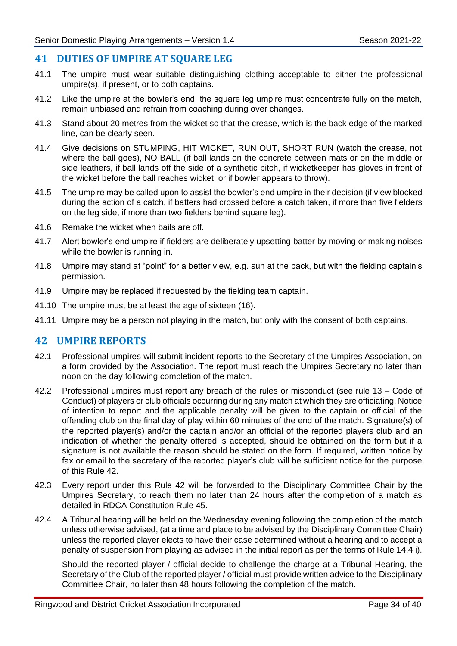## <span id="page-36-0"></span>**41 DUTIES OF UMPIRE AT SQUARE LEG**

- 41.1 The umpire must wear suitable distinguishing clothing acceptable to either the professional umpire(s), if present, or to both captains.
- 41.2 Like the umpire at the bowler's end, the square leg umpire must concentrate fully on the match, remain unbiased and refrain from coaching during over changes.
- 41.3 Stand about 20 metres from the wicket so that the crease, which is the back edge of the marked line, can be clearly seen.
- 41.4 Give decisions on STUMPING, HIT WICKET, RUN OUT, SHORT RUN (watch the crease, not where the ball goes), NO BALL (if ball lands on the concrete between mats or on the middle or side leathers, if ball lands off the side of a synthetic pitch, if wicketkeeper has gloves in front of the wicket before the ball reaches wicket, or if bowler appears to throw).
- 41.5 The umpire may be called upon to assist the bowler's end umpire in their decision (if view blocked during the action of a catch, if batters had crossed before a catch taken, if more than five fielders on the leg side, if more than two fielders behind square leg).
- 41.6 Remake the wicket when bails are off.
- 41.7 Alert bowler's end umpire if fielders are deliberately upsetting batter by moving or making noises while the bowler is running in.
- 41.8 Umpire may stand at "point" for a better view, e.g. sun at the back, but with the fielding captain's permission.
- 41.9 Umpire may be replaced if requested by the fielding team captain.
- 41.10 The umpire must be at least the age of sixteen (16).
- 41.11 Umpire may be a person not playing in the match, but only with the consent of both captains.

## <span id="page-36-1"></span>**42 UMPIRE REPORTS**

- 42.1 Professional umpires will submit incident reports to the Secretary of the Umpires Association, on a form provided by the Association. The report must reach the Umpires Secretary no later than noon on the day following completion of the match.
- 42.2 Professional umpires must report any breach of the rules or misconduct (see rule [13](#page-8-2) Code of Conduct) of players or club officials occurring during any match at which they are officiating. Notice of intention to report and the applicable penalty will be given to the captain or official of the offending club on the final day of play within 60 minutes of the end of the match. Signature(s) of the reported player(s) and/or the captain and/or an official of the reported players club and an indication of whether the penalty offered is accepted, should be obtained on the form but if a signature is not available the reason should be stated on the form. If required, written notice by fax or email to the secretary of the reported player's club will be sufficient notice for the purpose of this Rule [42.](#page-36-1)
- 42.3 Every report under this Rule [42](#page-36-1) will be forwarded to the Disciplinary Committee Chair by the Umpires Secretary, to reach them no later than 24 hours after the completion of a match as detailed in RDCA Constitution Rule 45.
- 42.4 A Tribunal hearing will be held on the Wednesday evening following the completion of the match unless otherwise advised, (at a time and place to be advised by the Disciplinary Committee Chair) unless the reported player elects to have their case determined without a hearing and to accept a penalty of suspension from playing as advised in the initial report as per the terms of Rule [14.4](#page-9-1) i).

Should the reported player / official decide to challenge the charge at a Tribunal Hearing, the Secretary of the Club of the reported player / official must provide written advice to the Disciplinary Committee Chair, no later than 48 hours following the completion of the match.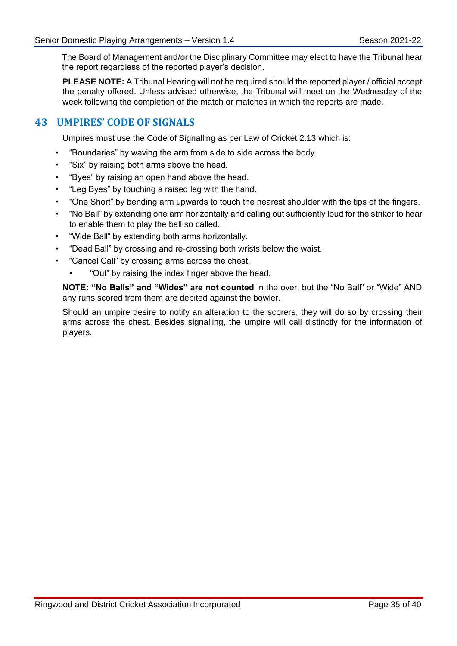The Board of Management and/or the Disciplinary Committee may elect to have the Tribunal hear the report regardless of the reported player's decision.

**PLEASE NOTE:** A Tribunal Hearing will not be required should the reported player / official accept the penalty offered. Unless advised otherwise, the Tribunal will meet on the Wednesday of the week following the completion of the match or matches in which the reports are made.

## <span id="page-37-0"></span>**43 UMPIRES' CODE OF SIGNALS**

Umpires must use the Code of Signalling as per Law of Cricket 2.13 which is:

- "Boundaries" by waving the arm from side to side across the body.
- "Six" by raising both arms above the head.
- "Byes" by raising an open hand above the head.
- "Leg Byes" by touching a raised leg with the hand.
- "One Short" by bending arm upwards to touch the nearest shoulder with the tips of the fingers.
- "No Ball" by extending one arm horizontally and calling out sufficiently loud for the striker to hear to enable them to play the ball so called.
- "Wide Ball" by extending both arms horizontally.
- "Dead Ball" by crossing and re-crossing both wrists below the waist.
- "Cancel Call" by crossing arms across the chest.
	- "Out" by raising the index finger above the head.

**NOTE: "No Balls" and "Wides" are not counted** in the over, but the "No Ball" or "Wide" AND any runs scored from them are debited against the bowler.

Should an umpire desire to notify an alteration to the scorers, they will do so by crossing their arms across the chest. Besides signalling, the umpire will call distinctly for the information of players.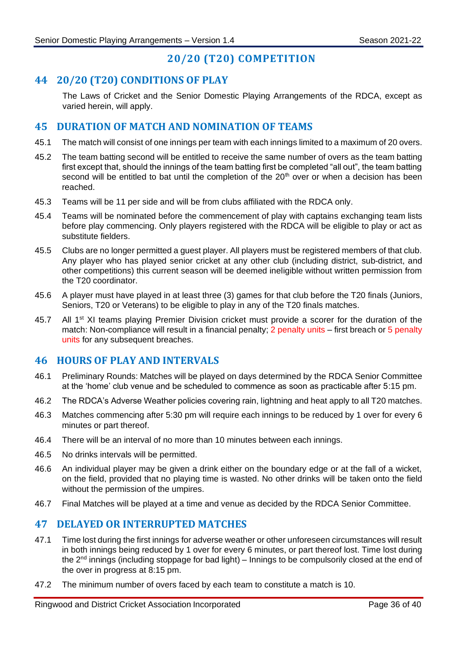## **20/20 (T20) COMPETITION**

## <span id="page-38-1"></span><span id="page-38-0"></span>**44 20/20 (T20) CONDITIONS OF PLAY**

The Laws of Cricket and the Senior Domestic Playing Arrangements of the RDCA, except as varied herein, will apply.

## <span id="page-38-2"></span>**45 DURATION OF MATCH AND NOMINATION OF TEAMS**

- 45.1 The match will consist of one innings per team with each innings limited to a maximum of 20 overs.
- 45.2 The team batting second will be entitled to receive the same number of overs as the team batting first except that, should the innings of the team batting first be completed "all out", the team batting second will be entitled to bat until the completion of the  $20<sup>th</sup>$  over or when a decision has been reached.
- 45.3 Teams will be 11 per side and will be from clubs affiliated with the RDCA only.
- 45.4 Teams will be nominated before the commencement of play with captains exchanging team lists before play commencing. Only players registered with the RDCA will be eligible to play or act as substitute fielders.
- 45.5 Clubs are no longer permitted a guest player. All players must be registered members of that club. Any player who has played senior cricket at any other club (including district, sub-district, and other competitions) this current season will be deemed ineligible without written permission from the T20 coordinator.
- 45.6 A player must have played in at least three (3) games for that club before the T20 finals (Juniors, Seniors, T20 or Veterans) to be eligible to play in any of the T20 finals matches.
- 45.7 All 1<sup>st</sup> XI teams playing Premier Division cricket must provide a scorer for the duration of the match: Non-compliance will result in a financial penalty; 2 penalty units – first breach or 5 penalty units for any subsequent breaches.

## <span id="page-38-3"></span>**46 HOURS OF PLAY AND INTERVALS**

- 46.1 Preliminary Rounds: Matches will be played on days determined by the RDCA Senior Committee at the 'home' club venue and be scheduled to commence as soon as practicable after 5:15 pm.
- 46.2 The RDCA's Adverse Weather policies covering rain, lightning and heat apply to all T20 matches.
- 46.3 Matches commencing after 5:30 pm will require each innings to be reduced by 1 over for every 6 minutes or part thereof.
- 46.4 There will be an interval of no more than 10 minutes between each innings.
- 46.5 No drinks intervals will be permitted.
- 46.6 An individual player may be given a drink either on the boundary edge or at the fall of a wicket, on the field, provided that no playing time is wasted. No other drinks will be taken onto the field without the permission of the umpires.
- 46.7 Final Matches will be played at a time and venue as decided by the RDCA Senior Committee.

## <span id="page-38-4"></span>**47 DELAYED OR INTERRUPTED MATCHES**

- 47.1 Time lost during the first innings for adverse weather or other unforeseen circumstances will result in both innings being reduced by 1 over for every 6 minutes, or part thereof lost. Time lost during the  $2<sup>nd</sup>$  innings (including stoppage for bad light) – Innings to be compulsorily closed at the end of the over in progress at 8:15 pm.
- 47.2 The minimum number of overs faced by each team to constitute a match is 10.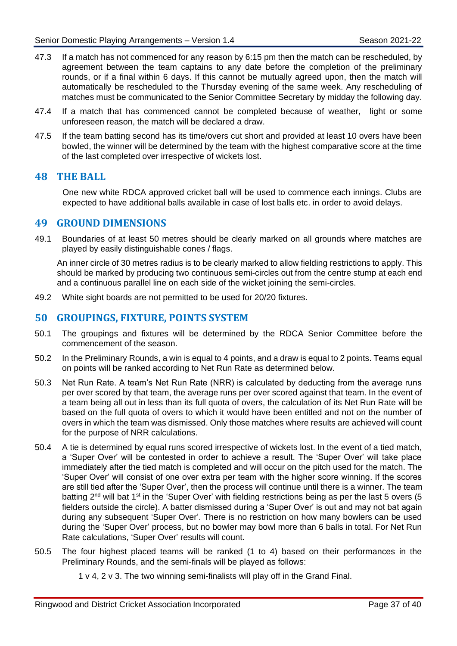- 47.3 If a match has not commenced for any reason by 6:15 pm then the match can be rescheduled, by agreement between the team captains to any date before the completion of the preliminary rounds, or if a final within 6 days. If this cannot be mutually agreed upon, then the match will automatically be rescheduled to the Thursday evening of the same week. Any rescheduling of matches must be communicated to the Senior Committee Secretary by midday the following day.
- 47.4 If a match that has commenced cannot be completed because of weather, light or some unforeseen reason, the match will be declared a draw.
- 47.5 If the team batting second has its time/overs cut short and provided at least 10 overs have been bowled, the winner will be determined by the team with the highest comparative score at the time of the last completed over irrespective of wickets lost.

## <span id="page-39-0"></span>**48 THE BALL**

One new white RDCA approved cricket ball will be used to commence each innings. Clubs are expected to have additional balls available in case of lost balls etc. in order to avoid delays.

#### <span id="page-39-1"></span>**49 GROUND DIMENSIONS**

<span id="page-39-3"></span>49.1 Boundaries of at least 50 metres should be clearly marked on all grounds where matches are played by easily distinguishable cones / flags.

An inner circle of 30 metres radius is to be clearly marked to allow fielding restrictions to apply. This should be marked by producing two continuous semi-circles out from the centre stump at each end and a continuous parallel line on each side of the wicket joining the semi-circles.

49.2 White sight boards are not permitted to be used for 20/20 fixtures.

## <span id="page-39-2"></span>**50 GROUPINGS, FIXTURE, POINTS SYSTEM**

- 50.1 The groupings and fixtures will be determined by the RDCA Senior Committee before the commencement of the season.
- 50.2 In the Preliminary Rounds, a win is equal to 4 points, and a draw is equal to 2 points. Teams equal on points will be ranked according to Net Run Rate as determined below.
- 50.3 Net Run Rate. A team's Net Run Rate (NRR) is calculated by deducting from the average runs per over scored by that team, the average runs per over scored against that team. In the event of a team being all out in less than its full quota of overs, the calculation of its Net Run Rate will be based on the full quota of overs to which it would have been entitled and not on the number of overs in which the team was dismissed. Only those matches where results are achieved will count for the purpose of NRR calculations.
- 50.4 A tie is determined by equal runs scored irrespective of wickets lost. In the event of a tied match, a 'Super Over' will be contested in order to achieve a result. The 'Super Over' will take place immediately after the tied match is completed and will occur on the pitch used for the match. The 'Super Over' will consist of one over extra per team with the higher score winning. If the scores are still tied after the 'Super Over', then the process will continue until there is a winner. The team batting  $2<sup>nd</sup>$  will bat 1<sup>st</sup> in the 'Super Over' with fielding restrictions being as per the last 5 overs (5 fielders outside the circle). A batter dismissed during a 'Super Over' is out and may not bat again during any subsequent 'Super Over'. There is no restriction on how many bowlers can be used during the 'Super Over' process, but no bowler may bowl more than 6 balls in total. For Net Run Rate calculations, 'Super Over' results will count.
- 50.5 The four highest placed teams will be ranked (1 to 4) based on their performances in the Preliminary Rounds, and the semi-finals will be played as follows:
	- 1 v 4, 2 v 3. The two winning semi-finalists will play off in the Grand Final.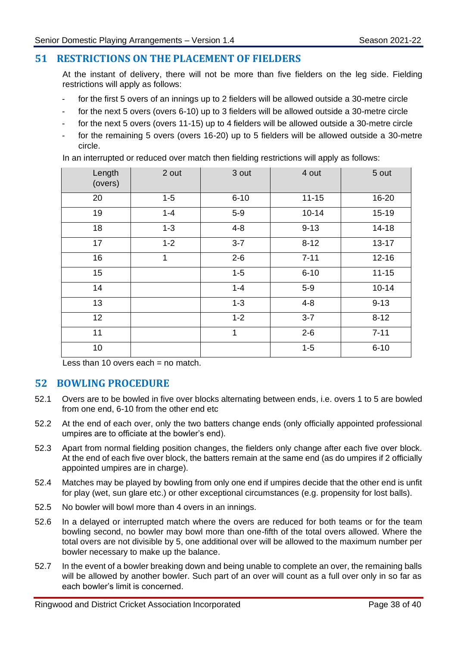## <span id="page-40-0"></span>**51 RESTRICTIONS ON THE PLACEMENT OF FIELDERS**

At the instant of delivery, there will not be more than five fielders on the leg side. Fielding restrictions will apply as follows:

- for the first 5 overs of an innings up to 2 fielders will be allowed outside a 30-metre circle
- for the next 5 overs (overs 6-10) up to 3 fielders will be allowed outside a 30-metre circle
- for the next 5 overs (overs 11-15) up to 4 fielders will be allowed outside a 30-metre circle
- for the remaining 5 overs (overs 16-20) up to 5 fielders will be allowed outside a 30-metre circle.

In an interrupted or reduced over match then fielding restrictions will apply as follows:

| Length<br>(overs) | 2 out   | 3 out    | 4 out     | 5 out     |
|-------------------|---------|----------|-----------|-----------|
| 20                | $1 - 5$ | $6 - 10$ | $11 - 15$ | 16-20     |
| 19                | $1 - 4$ | $5-9$    | $10 - 14$ | $15 - 19$ |
| 18                | $1 - 3$ | $4 - 8$  | $9 - 13$  | 14-18     |
| 17                | $1 - 2$ | $3 - 7$  | $8 - 12$  | $13 - 17$ |
| 16                | 1       | $2 - 6$  | $7 - 11$  | $12 - 16$ |
| 15                |         | $1 - 5$  | $6 - 10$  | $11 - 15$ |
| 14                |         | $1 - 4$  | $5-9$     | $10 - 14$ |
| 13                |         | $1 - 3$  | $4 - 8$   | $9 - 13$  |
| 12                |         | $1 - 2$  | $3 - 7$   | $8 - 12$  |
| 11                |         | 1        | $2 - 6$   | $7 - 11$  |
| 10                |         |          | $1-5$     | $6 - 10$  |

Less than 10 overs each  $=$  no match.

## <span id="page-40-1"></span>**52 BOWLING PROCEDURE**

- 52.1 Overs are to be bowled in five over blocks alternating between ends, i.e. overs 1 to 5 are bowled from one end, 6-10 from the other end etc
- 52.2 At the end of each over, only the two batters change ends (only officially appointed professional umpires are to officiate at the bowler's end).
- 52.3 Apart from normal fielding position changes, the fielders only change after each five over block. At the end of each five over block, the batters remain at the same end (as do umpires if 2 officially appointed umpires are in charge).
- 52.4 Matches may be played by bowling from only one end if umpires decide that the other end is unfit for play (wet, sun glare etc.) or other exceptional circumstances (e.g. propensity for lost balls).
- 52.5 No bowler will bowl more than 4 overs in an innings.
- 52.6 In a delayed or interrupted match where the overs are reduced for both teams or for the team bowling second, no bowler may bowl more than one-fifth of the total overs allowed. Where the total overs are not divisible by 5, one additional over will be allowed to the maximum number per bowler necessary to make up the balance.
- 52.7 In the event of a bowler breaking down and being unable to complete an over, the remaining balls will be allowed by another bowler. Such part of an over will count as a full over only in so far as each bowler's limit is concerned.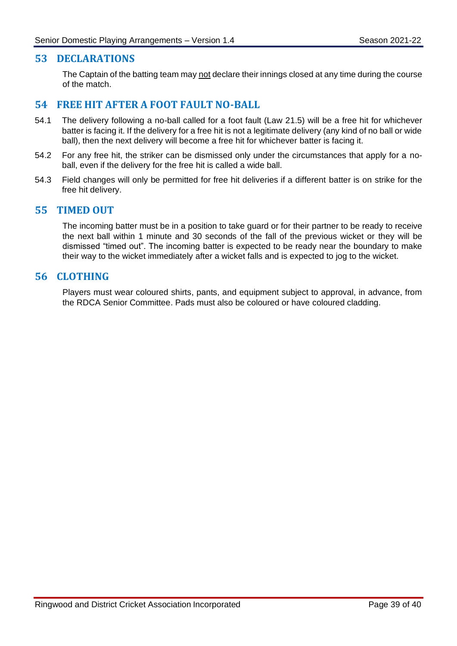#### <span id="page-41-0"></span>**53 DECLARATIONS**

The Captain of the batting team may not declare their innings closed at any time during the course of the match.

#### <span id="page-41-1"></span>**54 FREE HIT AFTER A FOOT FAULT NO-BALL**

- 54.1 The delivery following a no-ball called for a foot fault (Law 21.5) will be a free hit for whichever batter is facing it. If the delivery for a free hit is not a legitimate delivery (any kind of no ball or wide ball), then the next delivery will become a free hit for whichever batter is facing it.
- 54.2 For any free hit, the striker can be dismissed only under the circumstances that apply for a noball, even if the delivery for the free hit is called a wide ball.
- 54.3 Field changes will only be permitted for free hit deliveries if a different batter is on strike for the free hit delivery.

#### <span id="page-41-2"></span>**55 TIMED OUT**

The incoming batter must be in a position to take guard or for their partner to be ready to receive the next ball within 1 minute and 30 seconds of the fall of the previous wicket or they will be dismissed "timed out". The incoming batter is expected to be ready near the boundary to make their way to the wicket immediately after a wicket falls and is expected to jog to the wicket.

#### <span id="page-41-3"></span>**56 CLOTHING**

Players must wear coloured shirts, pants, and equipment subject to approval, in advance, from the RDCA Senior Committee. Pads must also be coloured or have coloured cladding.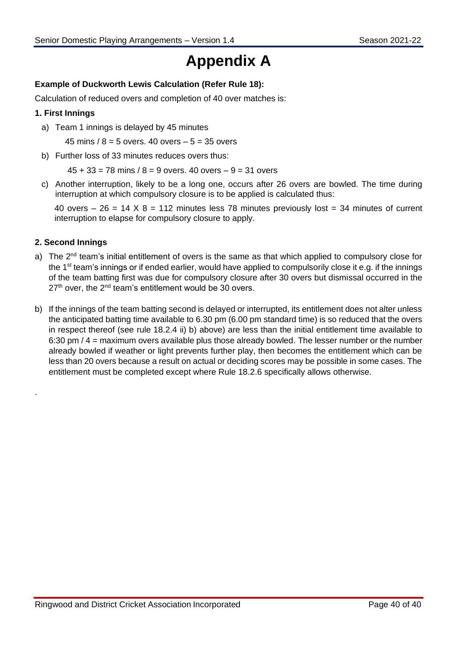# **Appendix A**

## **Example of Duckworth Lewis Calculation (Refer Rule 18):**

Calculation of reduced overs and completion of 40 over matches is:

#### **1. First Innings**

a) Team 1 innings is delayed by 45 minutes

45 mins  $/ 8 = 5$  overs. 40 overs  $- 5 = 35$  overs

b) Further loss of 33 minutes reduces overs thus:

 $45 + 33 = 78$  mins  $/ 8 = 9$  overs. 40 overs  $- 9 = 31$  overs

<span id="page-42-0"></span>c) Another interruption, likely to be a long one, occurs after 26 overs are bowled. The time during interruption at which compulsory closure is to be applied is calculated thus:

40 overs  $-26 = 14 \times 8 = 112$  minutes less 78 minutes previously lost = 34 minutes of current interruption to elapse for compulsory closure to apply.

#### <span id="page-42-1"></span>**2. Second Innings**

.

- a) The  $2<sup>nd</sup>$  team's initial entitlement of overs is the same as that which applied to compulsory close for the 1<sup>st</sup> team's innings or if ended earlier, would have applied to compulsorily close it e.g. if the innings of the team batting first was due for compulsory closure after 30 overs but dismissal occurred in the  $27<sup>th</sup>$  over, the  $2<sup>nd</sup>$  team's entitlement would be 30 overs.
- b) If the innings of the team batting second is delayed or interrupted, its entitlement does not alter unless the anticipated batting time available to 6.30 pm (6.00 pm standard time) is so reduced that the overs in respect thereof (see rule 18.2.4 ii) b) above) are less than the initial entitlement time available to 6:30 pm / 4 = maximum overs available plus those already bowled. The lesser number or the number already bowled if weather or light prevents further play, then becomes the entitlement which can be less than 20 overs because a result on actual or deciding scores may be possible in some cases. The entitlement must be completed except where Rule 18.2.6 specifically allows otherwise.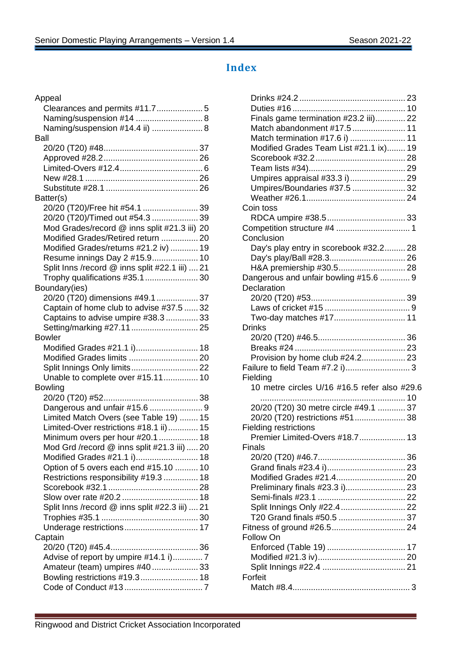# **Index**

<span id="page-43-0"></span>

| Appeal                                         |
|------------------------------------------------|
|                                                |
| Naming/suspension #14  8                       |
| Naming/suspension #14.4 ii)  8                 |
| Ball                                           |
|                                                |
|                                                |
|                                                |
|                                                |
|                                                |
| Batter(s)                                      |
| 20/20 (T20)/Free hit #54.1  39                 |
| 20/20 (T20)/Timed out #54.3  39                |
| Mod Grades/record @ inns split #21.3 iii) 20   |
| Modified Grades/Retired return  20             |
| Modified Grades/returns #21.2 iv)  19          |
| Resume innings Day 2 #15.9 10                  |
| Split Inns /record @ inns split #22.1 iii)  21 |
| Trophy qualifications #35.1  30                |
| Boundary(ies)                                  |
| 20/20 (T20) dimensions #49.1  37               |
| Captain of home club to advise #37.5  32       |
| Captains to advise umpire #38.3  33            |
| Setting/marking #27.11  25                     |
| <b>Bowler</b>                                  |
| Modified Grades #21.1 i) 18                    |
| Modified Grades limits  20                     |
| Split Innings Only limits 22                   |
| Unable to complete over #15.11 10              |
| <b>Bowling</b>                                 |
|                                                |
| Dangerous and unfair #15.6 9                   |
| Limited Match Overs (see Table 19)  15         |
| Limited-Over restrictions #18.1 ii) 15         |
| Minimum overs per hour #20.1  18               |
| Mod Grd /record @ inns split #21.3 iii)  20    |
| Modified Grades #21.1 i) 18                    |
| Option of 5 overs each end #15.10  10          |
| Restrictions responsibility #19.3  18          |
|                                                |
|                                                |
| Split Inns /record @ inns split #22.3 iii)  21 |
|                                                |
| Underage restrictions 17                       |
| Captain                                        |
|                                                |
| Advise of report by umpire #14.1 i)7           |
| Amateur (team) umpires #40  33                 |
|                                                |
|                                                |
|                                                |

| Finals game termination #23.2 iii) 22        |
|----------------------------------------------|
| Match abandonment #17.5  11                  |
|                                              |
| Modified Grades Team List #21.1 ix) 19       |
|                                              |
|                                              |
| Umpires appraisal #33.3 i) 29                |
| Umpires/Boundaries #37.5  32                 |
|                                              |
| Coin toss                                    |
|                                              |
|                                              |
| Conclusion                                   |
|                                              |
| Day's play entry in scorebook #32.2 28       |
|                                              |
| H&A premiership #30.5 28                     |
| Dangerous and unfair bowling #15.6  9        |
| Declaration                                  |
|                                              |
|                                              |
| Two-day matches #17 11                       |
| <b>Drinks</b>                                |
|                                              |
|                                              |
| Provision by home club #24.2 23              |
| Failure to field Team #7.2 i) 3              |
| Fielding                                     |
| 10 metre circles U/16 #16.5 refer also #29.6 |
|                                              |
| 20/20 (T20) 30 metre circle #49.1  37        |
| 20/20 (T20) restrictions #51 38              |
| <b>Fielding restrictions</b>                 |
| Premier Limited-Overs #18.7<br>13            |
| <b>Finals</b>                                |
|                                              |
|                                              |
| Modified Grades #21.4 20                     |
| Preliminary finals #23.3 i) 23               |
|                                              |
| Split Innings Only #22.4  22                 |
| T20 Grand finals #50.5  37                   |
|                                              |
| Follow On                                    |
|                                              |
|                                              |
|                                              |
| Forfeit                                      |
|                                              |
|                                              |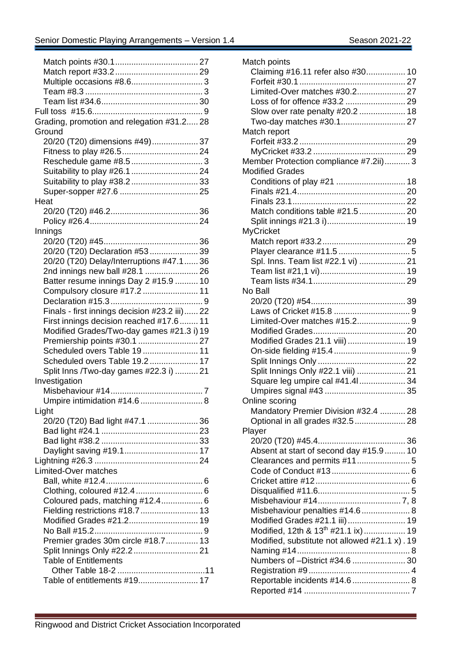| Grading, promotion and relegation #31.2 28    |
|-----------------------------------------------|
| Ground                                        |
| 20/20 (T20) dimensions #49) 37                |
|                                               |
|                                               |
| Suitability to play #26.1  24                 |
|                                               |
|                                               |
| Heat                                          |
|                                               |
|                                               |
| Innings                                       |
|                                               |
| 20/20 (T20) Declaration #53  39               |
| 20/20 (T20) Delay/Interruptions #47.1  36     |
| 2nd innings new ball #28.1  26                |
| Batter resume innings Day 2 #15.9  10         |
| Compulsory closure #17.2  11                  |
|                                               |
| Finals - first innings decision #23.2 iii) 22 |
| First innings decision reached #17.6  11      |
| Modified Grades/Two-day games #21.3 i) 19     |
| Premiership points #30.1  27                  |
| Scheduled overs Table 19 11                   |
| Scheduled overs Table 19.2  17                |
| Split Inns /Two-day games #22.3 i)  21        |
| Investigation                                 |
|                                               |
| Umpire intimidation #14.6  8                  |
| Light                                         |
| 20/20 (T20) Bad light #47.1  36               |
|                                               |
|                                               |
| Daylight saving #19.1 17                      |
|                                               |
| Limited-Over matches                          |
|                                               |
| Clothing, coloured #12.4  6                   |
| Coloured pads, matching #12.4 6               |
| Fielding restrictions #18.7  13               |
| Modified Grades #21.2 19                      |
|                                               |
| Premier grades 30m circle #18.7 13            |
| Split Innings Only #22.2  21                  |
| <b>Table of Entitlements</b>                  |
|                                               |
| Table of entitlements #19 17                  |
|                                               |

| Match points                                   |  |
|------------------------------------------------|--|
| Claiming #16.11 refer also #30 10              |  |
|                                                |  |
| Limited-Over matches #30.2 27                  |  |
| Loss of for offence #33.2  29                  |  |
| Slow over rate penalty #20.2  18               |  |
| Two-day matches #30.1 27                       |  |
| Match report                                   |  |
|                                                |  |
|                                                |  |
| Member Protection compliance #7.2ii) 3         |  |
| <b>Modified Grades</b>                         |  |
| Conditions of play #21  18                     |  |
|                                                |  |
|                                                |  |
| Match conditions table #21.5  20               |  |
|                                                |  |
| <b>MyCricket</b>                               |  |
|                                                |  |
|                                                |  |
| Spl. Inns. Team list #22.1 vi)  21             |  |
|                                                |  |
|                                                |  |
| No Ball                                        |  |
|                                                |  |
|                                                |  |
|                                                |  |
|                                                |  |
| Modified Grades 21.1 viii)  19                 |  |
|                                                |  |
|                                                |  |
| Split Innings Only #22.1 viii)  21             |  |
| Square leg umpire cal #41.41 34                |  |
|                                                |  |
| Online scoring                                 |  |
| Mandatory Premier Division #32.4  28           |  |
| Optional in all grades #32.5  28               |  |
| Player                                         |  |
|                                                |  |
| Absent at start of second day #15.9 10         |  |
| Clearances and permits #11 5                   |  |
|                                                |  |
|                                                |  |
|                                                |  |
|                                                |  |
| Misbehaviour penalties #14.6  8                |  |
| Modified Grades #21.1 iii) 19                  |  |
| Modified, 12th & 13 <sup>th</sup> #21.1 ix) 19 |  |
| Modified, substitute not allowed #21.1 x). 19  |  |
|                                                |  |
| Numbers of -District #34.6  30                 |  |
|                                                |  |
| Reportable incidents #14.6  8                  |  |
|                                                |  |
|                                                |  |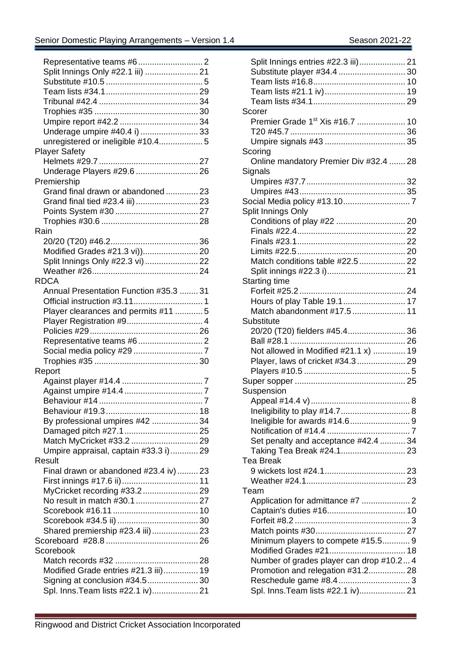| Split Innings Only #22.1 iii)  21      |
|----------------------------------------|
|                                        |
|                                        |
|                                        |
|                                        |
|                                        |
| Underage umpire #40.4 i)  33           |
| unregistered or ineligible #10.4 5     |
| <b>Player Safety</b>                   |
|                                        |
| Underage Players #29.6  26             |
| Premiership                            |
| Grand final drawn or abandoned 23      |
| Grand final tied #23.4 iii)  23        |
|                                        |
|                                        |
| Rain                                   |
|                                        |
| Modified Grades #21.3 vi)) 20          |
| Split Innings Only #22.3 vi)  22       |
|                                        |
| <b>RDCA</b>                            |
| Annual Presentation Function #35.3  31 |
|                                        |
| Player clearances and permits #11  5   |
| Player Registration #9 4               |
|                                        |
|                                        |
|                                        |
|                                        |
| Report                                 |
|                                        |
|                                        |
|                                        |
|                                        |
| By professional umpires #42  34        |
|                                        |
| Damaged pitch #27.1  25                |
| Umpire appraisal, captain #33.3 i) 29  |
| Result                                 |
|                                        |
| Final drawn or abandoned #23.4 iv)  23 |
|                                        |
|                                        |
| No result in match #30.1  27           |
|                                        |
|                                        |
| Shared premiership #23.4 iii) 23       |
|                                        |
| Scorebook                              |
|                                        |
| Modified Grade entries #21.3 iii) 19   |
| Signing at conclusion #34.5 30         |
| Spl. Inns. Team lists #22.1 iv) 21     |

| Split Innings entries #22.3 iii) 21         |   |
|---------------------------------------------|---|
| Substitute player #34.4  30                 |   |
|                                             |   |
|                                             |   |
|                                             |   |
| Scorer                                      |   |
| Premier Grade 1 <sup>st</sup> Xis #16.7  10 |   |
|                                             |   |
|                                             |   |
| Scoring                                     |   |
| Online mandatory Premier Div #32.4  28      |   |
| Signals                                     |   |
|                                             |   |
|                                             |   |
|                                             |   |
| Split Innings Only                          |   |
|                                             |   |
|                                             |   |
|                                             |   |
|                                             |   |
|                                             |   |
| Match conditions table #22.5  22            |   |
|                                             |   |
| <b>Starting time</b>                        |   |
|                                             |   |
| Hours of play Table 19.1 17                 |   |
| Match abandonment #17.5  11                 |   |
| Substitute                                  |   |
| 20/20 (T20) fielders #45.4 36               |   |
|                                             |   |
| Not allowed in Modified #21.1 x)  19        |   |
| Player, laws of cricket #34.3 29            |   |
|                                             |   |
|                                             |   |
| Suspension                                  |   |
| Appeal #14.4 v).                            | 8 |
|                                             |   |
|                                             |   |
|                                             |   |
| Set penalty and acceptance #42.4  34        |   |
|                                             |   |
| Tea Break                                   |   |
|                                             |   |
|                                             |   |
| Team                                        |   |
|                                             |   |
|                                             |   |
|                                             |   |
|                                             |   |
|                                             |   |
| Minimum players to compete #15.5 9          |   |
| Modified Grades #21 18                      |   |
| Number of grades player can drop #10.2 4    |   |
| Promotion and relegation #31.2 28           |   |
|                                             |   |
| Spl. Inns. Team lists #22.1 iv) 21          |   |